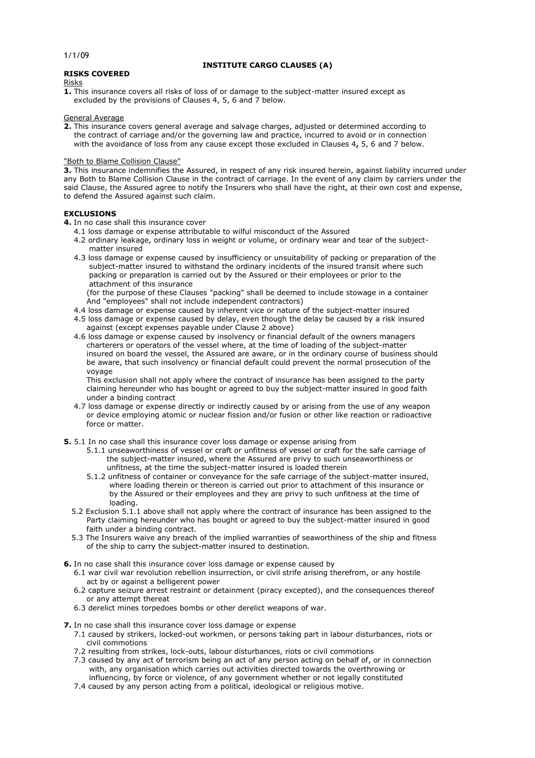# **INSTITUTE CARGO CLAUSES (A)**

### **RISKS COVERED** Risks

**1.** This insurance covers all risks of loss of or damage to the subject-matter insured except as excluded by the provisions of Clauses 4, 5, 6 and 7 below.

General Average

**2.** This insurance covers general average and salvage charges, adjusted or determined according to the contract of carriage and/or the governing law and practice, incurred to avoid or in connection with the avoidance of loss from any cause except those excluded in Clauses 4**,** 5, 6 and 7 below.

#### "Both to Blame Collision Clause"

**3.** This insurance indemnifies the Assured, in respect of any risk insured herein, against liability incurred under any Both to Blame Collision Clause in the contract of carriage. In the event of any claim by carriers under the said Clause, the Assured agree to notify the Insurers who shall have the right, at their own cost and expense, to defend the Assured against such claim.

## **EXCLUSIONS**

**4.** In no case shall this insurance cover

- 4.1 loss damage or expense attributable to wilful misconduct of the Assured
- 4.2 ordinary leakage, ordinary loss in weight or volume, or ordinary wear and tear of the subjectmatter insured
- 4.3 loss damage or expense caused by insufficiency or unsuitability of packing or preparation of the subject-matter insured to withstand the ordinary incidents of the insured transit where such packing or preparation is carried out by the Assured or their employees or prior to the attachment of this insurance

(for the purpose of these Clauses "packing" shall be deemed to include stowage in a container And "employees" shall not include independent contractors)

- 4.4 loss damage or expense caused by inherent vice or nature of the subject-matter insured 4.5 loss damage or expense caused by delay, even though the delay be caused by a risk insured against (except expenses payable under Clause 2 above)
- 4.6 loss damage or expense caused by insolvency or financial default of the owners managers charterers or operators of the vessel where, at the time of loading of the subject-matter insured on board the vessel, the Assured are aware, or in the ordinary course of business should be aware, that such insolvency or financial default could prevent the normal prosecution of the voyage

This exclusion shall not apply where the contract of insurance has been assigned to the party claiming hereunder who has bought or agreed to buy the subject-matter insured in good faith under a binding contract

- 4.7 loss damage or expense directly or indirectly caused by or arising from the use of any weapon or device employing atomic or nuclear fission and/or fusion or other like reaction or radioactive force or matter.
- **5.** 5.1 In no case shall this insurance cover loss damage or expense arising from
	- 5.1.1 unseaworthiness of vessel or craft or unfitness of vessel or craft for the safe carriage of the subject-matter insured, where the Assured are privy to such unseaworthiness or unfitness, at the time the subject-matter insured is loaded therein
	- 5.1.2 unfitness of container or conveyance for the safe carriage of the subject-matter insured, where loading therein or thereon is carried out prior to attachment of this insurance or by the Assured or their employees and they are privy to such unfitness at the time of loading.
	- 5.2 Exclusion 5.1.1 above shall not apply where the contract of insurance has been assigned to the Party claiming hereunder who has bought or agreed to buy the subject-matter insured in good faith under a binding contract.
	- 5.3 The Insurers waive any breach of the implied warranties of seaworthiness of the ship and fitness of the ship to carry the subject-matter insured to destination.
- **6.** In no case shall this insurance cover loss damage or expense caused by
	- 6.1 war civil war revolution rebellion insurrection, or civil strife arising therefrom, or any hostile act by or against a belligerent power
	- 6.2 capture seizure arrest restraint or detainment (piracy excepted), and the consequences thereof or any attempt thereat
	- 6.3 derelict mines torpedoes bombs or other derelict weapons of war.
- **7.** In no case shall this insurance cover loss damage or expense
	- 7.1 caused by strikers, locked-out workmen, or persons taking part in labour disturbances, riots or civil commotions
	- 7.2 resulting from strikes, lock-outs, labour disturbances, riots or civil commotions
	- 7.3 caused by any act of terrorism being an act of any person acting on behalf of, or in connection with, any organisation which carries out activities directed towards the overthrowing or influencing, by force or violence, of any government whether or not legally constituted
	- 7.4 caused by any person acting from a political, ideological or religious motive.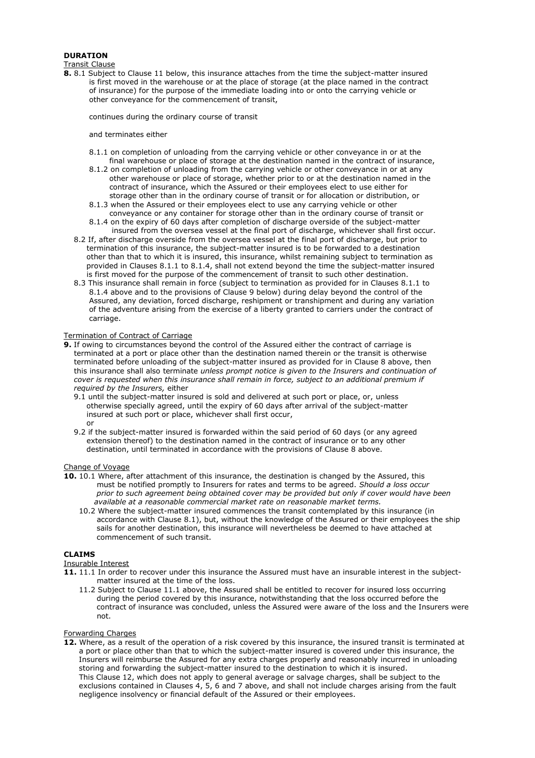# **DURATION**

Transit Clause

**8.** 8.1 Subject to Clause 11 below, this insurance attaches from the time the subject-matter insured is first moved in the warehouse or at the place of storage (at the place named in the contract of insurance) for the purpose of the immediate loading into or onto the carrying vehicle or other conveyance for the commencement of transit,

continues during the ordinary course of transit

and terminates either

- 8.1.1 on completion of unloading from the carrying vehicle or other conveyance in or at the final warehouse or place of storage at the destination named in the contract of insurance,
- 8.1.2 on completion of unloading from the carrying vehicle or other conveyance in or at any other warehouse or place of storage, whether prior to or at the destination named in the contract of insurance, which the Assured or their employees elect to use either for storage other than in the ordinary course of transit or for allocation or distribution, or
- 8.1.3 when the Assured or their employees elect to use any carrying vehicle or other conveyance or any container for storage other than in the ordinary course of transit or
- 8.1.4 on the expiry of 60 days after completion of discharge overside of the subject-matter insured from the oversea vessel at the final port of discharge, whichever shall first occur.
- 8.2 If, after discharge overside from the oversea vessel at the final port of discharge, but prior to termination of this insurance, the subject-matter insured is to be forwarded to a destination other than that to which it is insured, this insurance, whilst remaining subject to termination as provided in Clauses 8.1.1 to 8.1.4, shall not extend beyond the time the subject-matter insured is first moved for the purpose of the commencement of transit to such other destination.
- 8.3 This insurance shall remain in force (subject to termination as provided for in Clauses 8.1.1 to 8.1.4 above and to the provisions of Clause 9 below) during delay beyond the control of the Assured, any deviation, forced discharge, reshipment or transhipment and during any variation of the adventure arising from the exercise of a liberty granted to carriers under the contract of carriage.

#### Termination of Contract of Carriage

- **9.** If owing to circumstances beyond the control of the Assured either the contract of carriage is terminated at a port or place other than the destination named therein or the transit is otherwise terminated before unloading of the subject-matter insured as provided for in Clause 8 above, then this insurance shall also terminate *unless prompt notice is given to the Insurers and continuation of cover is requested when this insurance shall remain in force, subject to an additional premium if required by the Insurers,* either
	- 9.1 until the subject-matter insured is sold and delivered at such port or place, or, unless otherwise specially agreed, until the expiry of 60 days after arrival of the subject-matter insured at such port or place, whichever shall first occur, or
	- 9.2 if the subject-matter insured is forwarded within the said period of 60 days (or any agreed extension thereof) to the destination named in the contract of insurance or to any other destination, until terminated in accordance with the provisions of Clause 8 above.

## Change of Voyage

- **10.** 10.1 Where, after attachment of this insurance, the destination is changed by the Assured, this must be notified promptly to Insurers for rates and terms to be agreed. *Should a loss occur prior to such agreement being obtained cover may be provided but only if cover would have been available at a reasonable commercial market rate on reasonable market terms.*
	- 10.2 Where the subject-matter insured commences the transit contemplated by this insurance (in accordance with Clause 8.1), but, without the knowledge of the Assured or their employees the ship sails for another destination, this insurance will nevertheless be deemed to have attached at commencement of such transit.

#### **CLAIMS**

#### Insurable Interest

- **11.** 11.1 In order to recover under this insurance the Assured must have an insurable interest in the subjectmatter insured at the time of the loss.
	- 11.2 Subject to Clause 11.1 above, the Assured shall be entitled to recover for insured loss occurring during the period covered by this insurance, notwithstanding that the loss occurred before the contract of insurance was concluded, unless the Assured were aware of the loss and the Insurers were not.

#### Forwarding Charges

**12.** Where, as a result of the operation of a risk covered by this insurance, the insured transit is terminated at a port or place other than that to which the subject-matter insured is covered under this insurance, the Insurers will reimburse the Assured for any extra charges properly and reasonably incurred in unloading storing and forwarding the subject-matter insured to the destination to which it is insured. This Clause 12, which does not apply to general average or salvage charges, shall be subject to the exclusions contained in Clauses 4, 5, 6 and 7 above, and shall not include charges arising from the fault negligence insolvency or financial default of the Assured or their employees.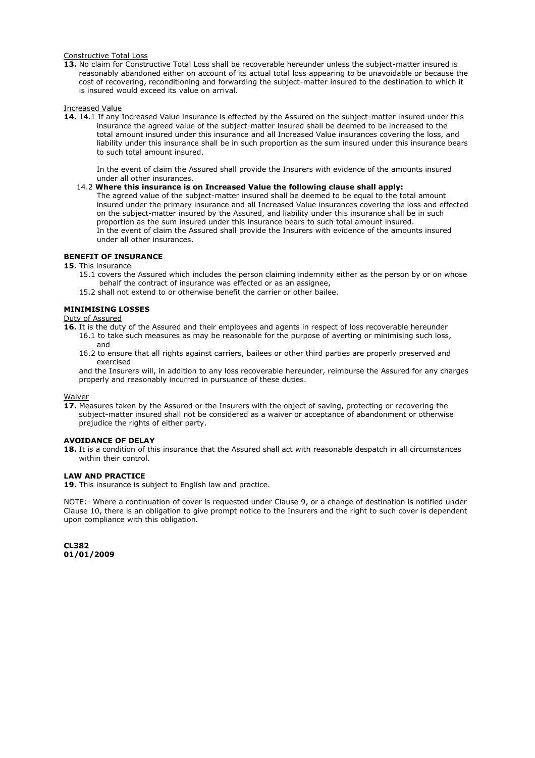## Constructive Total Loss

**13.** No claim for Constructive Total Loss shall be recoverable hereunder unless the subject-matter insured is reasonably abandoned either on account of its actual total loss appearing to be unavoidable or because the cost of recovering, reconditioning and forwarding the subject-matter insured to the destination to which it is insured would exceed its value on arrival.

#### Increased Value

**14.** 14.1 If any Increased Value insurance is effected by the Assured on the subject-matter insured under this insurance the agreed value of the subject-matter insured shall be deemed to be increased to the total amount insured under this insurance and all Increased Value insurances covering the loss, and liability under this insurance shall be in such proportion as the sum insured under this insurance bears to such total amount insured.

In the event of claim the Assured shall provide the Insurers with evidence of the amounts insured under all other insurances.

## 14.2 **Where this insurance is on Increased Value the following clause shall apply:**

The agreed value of the subject-matter insured shall be deemed to be equal to the total amount insured under the primary insurance and all Increased Value insurances covering the loss and effected on the subject-matter insured by the Assured, and liability under this insurance shall be in such proportion as the sum insured under this insurance bears to such total amount insured. In the event of claim the Assured shall provide the Insurers with evidence of the amounts insured under all other insurances.

## **BENEFIT OF INSURANCE**

#### **15.** This insurance

- 15.1 covers the Assured which includes the person claiming indemnity either as the person by or on whose behalf the contract of insurance was effected or as an assignee,
- 15.2 shall not extend to or otherwise benefit the carrier or other bailee.

## **MINIMISING LOSSES**

# Duty of Assured

- **16.** It is the duty of the Assured and their employees and agents in respect of loss recoverable hereunder
	- 16.1 to take such measures as may be reasonable for the purpose of averting or minimising such loss, and
	- 16.2 to ensure that all rights against carriers, bailees or other third parties are properly preserved and exercised

and the Insurers will, in addition to any loss recoverable hereunder, reimburse the Assured for any charges properly and reasonably incurred in pursuance of these duties.

#### Waiver

**17.** Measures taken by the Assured or the Insurers with the object of saving, protecting or recovering the subject-matter insured shall not be considered as a waiver or acceptance of abandonment or otherwise prejudice the rights of either party.

## **AVOIDANCE OF DELAY**

**18.** It is a condition of this insurance that the Assured shall act with reasonable despatch in all circumstances within their control.

#### **LAW AND PRACTICE**

**19.** This insurance is subject to English law and practice.

NOTE:- Where a continuation of cover is requested under Clause 9, or a change of destination is notified under Clause 10, there is an obligation to give prompt notice to the Insurers and the right to such cover is dependent upon compliance with this obligation*.*

**CL382 01/01/2009**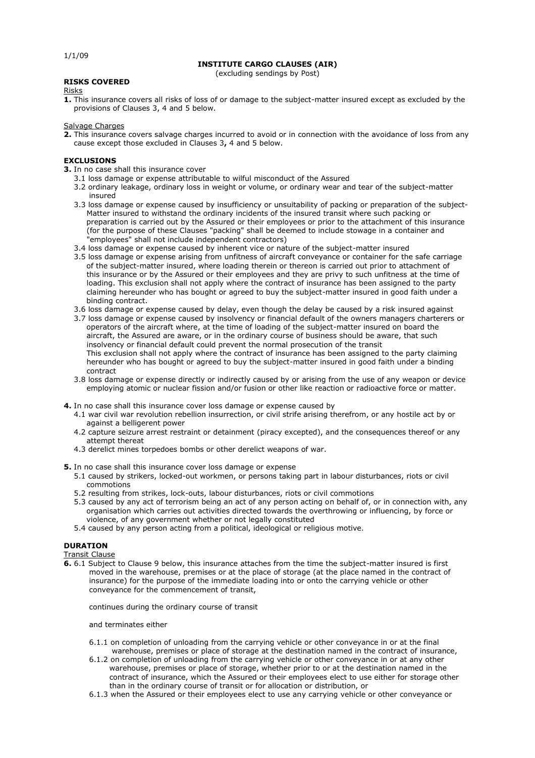# **INSTITUTE CARGO CLAUSES (AIR)**

(excluding sendings by Post)

# **RISKS COVERED**

### Risks

**1.** This insurance covers all risks of loss of or damage to the subject-matter insured except as excluded by the provisions of Clauses 3, 4 and 5 below.

# Salvage Charges

**2.** This insurance covers salvage charges incurred to avoid or in connection with the avoidance of loss from any cause except those excluded in Clauses 3**,** 4 and 5 below.

# **EXCLUSIONS**

- **3.** In no case shall this insurance cover
	- 3.1 loss damage or expense attributable to wilful misconduct of the Assured
	- 3.2 ordinary leakage, ordinary loss in weight or volume, or ordinary wear and tear of the subject-matter insured
	- 3.3 loss damage or expense caused by insufficiency or unsuitability of packing or preparation of the subject-Matter insured to withstand the ordinary incidents of the insured transit where such packing or preparation is carried out by the Assured or their employees or prior to the attachment of this insurance (for the purpose of these Clauses "packing" shall be deemed to include stowage in a container and "employees" shall not include independent contractors)
	- 3.4 loss damage or expense caused by inherent vice or nature of the subject-matter insured
	- 3.5 loss damage or expense arising from unfitness of aircraft conveyance or container for the safe carriage of the subject-matter insured, where loading therein or thereon is carried out prior to attachment of this insurance or by the Assured or their employees and they are privy to such unfitness at the time of loading. This exclusion shall not apply where the contract of insurance has been assigned to the party claiming hereunder who has bought or agreed to buy the subject-matter insured in good faith under a binding contract.
	- 3.6 loss damage or expense caused by delay, even though the delay be caused by a risk insured against
	- 3.7 loss damage or expense caused by insolvency or financial default of the owners managers charterers or operators of the aircraft where, at the time of loading of the subject-matter insured on board the aircraft, the Assured are aware, or in the ordinary course of business should be aware, that such insolvency or financial default could prevent the normal prosecution of the transit This exclusion shall not apply where the contract of insurance has been assigned to the party claiming hereunder who has bought or agreed to buy the subject-matter insured in good faith under a binding contract
	- 3.8 loss damage or expense directly or indirectly caused by or arising from the use of any weapon or device employing atomic or nuclear fission and/or fusion or other like reaction or radioactive force or matter.
- **4.** In no case shall this insurance cover loss damage or expense caused by
	- 4.1 war civil war revolution rebellion insurrection, or civil strife arising therefrom, or any hostile act by or against a belligerent power
	- 4.2 capture seizure arrest restraint or detainment (piracy excepted), and the consequences thereof or any attempt thereat
	- 4.3 derelict mines torpedoes bombs or other derelict weapons of war.
- **5.** In no case shall this insurance cover loss damage or expense
	- 5.1 caused by strikers, locked-out workmen, or persons taking part in labour disturbances, riots or civil commotions
	- 5.2 resulting from strikes, lock-outs, labour disturbances, riots or civil commotions
	- 5.3 caused by any act of terrorism being an act of any person acting on behalf of, or in connection with, any organisation which carries out activities directed towards the overthrowing or influencing, by force or violence, of any government whether or not legally constituted
	- 5.4 caused by any person acting from a political, ideological or religious motive.

# **DURATION**

# Transit Clause

**6.** 6.1 Subject to Clause 9 below, this insurance attaches from the time the subject-matter insured is first moved in the warehouse, premises or at the place of storage (at the place named in the contract of insurance) for the purpose of the immediate loading into or onto the carrying vehicle or other conveyance for the commencement of transit,

continues during the ordinary course of transit

and terminates either

- 6.1.1 on completion of unloading from the carrying vehicle or other conveyance in or at the final warehouse, premises or place of storage at the destination named in the contract of insurance,
- 6.1.2 on completion of unloading from the carrying vehicle or other conveyance in or at any other warehouse, premises or place of storage, whether prior to or at the destination named in the contract of insurance, which the Assured or their employees elect to use either for storage other than in the ordinary course of transit or for allocation or distribution, or
- 6.1.3 when the Assured or their employees elect to use any carrying vehicle or other conveyance or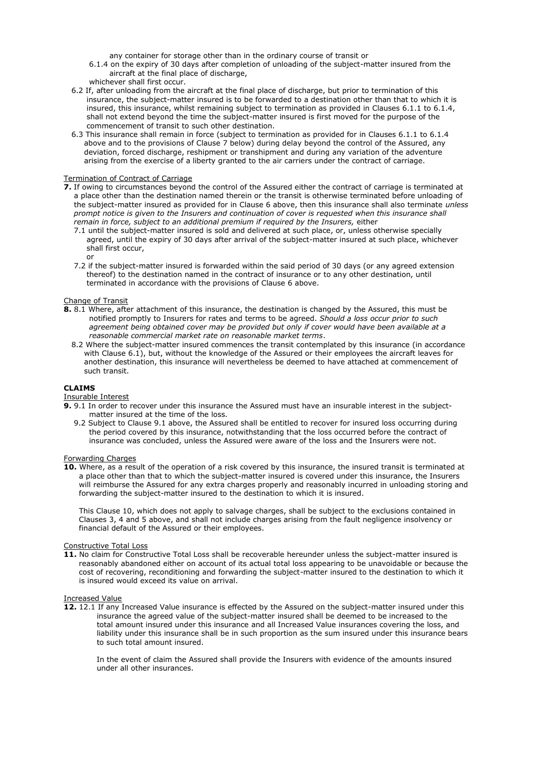any container for storage other than in the ordinary course of transit or

- 6.1.4 on the expiry of 30 days after completion of unloading of the subject-matter insured from the aircraft at the final place of discharge,
- whichever shall first occur.
- 6.2 If, after unloading from the aircraft at the final place of discharge, but prior to termination of this insurance, the subject-matter insured is to be forwarded to a destination other than that to which it is insured, this insurance, whilst remaining subject to termination as provided in Clauses 6.1.1 to 6.1.4, shall not extend beyond the time the subject-matter insured is first moved for the purpose of the commencement of transit to such other destination.
- 6.3 This insurance shall remain in force (subject to termination as provided for in Clauses 6.1.1 to 6.1.4 above and to the provisions of Clause 7 below) during delay beyond the control of the Assured, any deviation, forced discharge, reshipment or transhipment and during any variation of the adventure arising from the exercise of a liberty granted to the air carriers under the contract of carriage.

#### Termination of Contract of Carriage

- **7.** If owing to circumstances beyond the control of the Assured either the contract of carriage is terminated at a place other than the destination named therein or the transit is otherwise terminated before unloading of the subject-matter insured as provided for in Clause 6 above, then this insurance shall also terminate *unless prompt notice is given to the Insurers and continuation of cover is requested when this insurance shall remain in force, subject to an additional premium if required by the Insurers,* either
	- 7.1 until the subject-matter insured is sold and delivered at such place, or, unless otherwise specially agreed, until the expiry of 30 days after arrival of the subject-matter insured at such place, whichever shall first occur,
	- 7.2 if the subject-matter insured is forwarded within the said period of 30 days (or any agreed extension thereof) to the destination named in the contract of insurance or to any other destination, until terminated in accordance with the provisions of Clause 6 above.

## Change of Transit

or

- **8.** 8.1 Where, after attachment of this insurance, the destination is changed by the Assured, this must be notified promptly to Insurers for rates and terms to be agreed. *Should a loss occur prior to such agreement being obtained cover may be provided but only if cover would have been available at a reasonable commercial market rate on reasonable market terms*.
	- 8.2 Where the subject-matter insured commences the transit contemplated by this insurance (in accordance with Clause 6.1), but, without the knowledge of the Assured or their employees the aircraft leaves for another destination, this insurance will nevertheless be deemed to have attached at commencement of such transit.

#### **CLAIMS**

### Insurable Interest

- **9.** 9.1 In order to recover under this insurance the Assured must have an insurable interest in the subjectmatter insured at the time of the loss.
	- 9.2 Subject to Clause 9.1 above, the Assured shall be entitled to recover for insured loss occurring during the period covered by this insurance, notwithstanding that the loss occurred before the contract of insurance was concluded, unless the Assured were aware of the loss and the Insurers were not.

#### Forwarding Charges

**10.** Where, as a result of the operation of a risk covered by this insurance, the insured transit is terminated at a place other than that to which the subject-matter insured is covered under this insurance, the Insurers will reimburse the Assured for any extra charges properly and reasonably incurred in unloading storing and forwarding the subject-matter insured to the destination to which it is insured.

This Clause 10, which does not apply to salvage charges, shall be subject to the exclusions contained in Clauses 3, 4 and 5 above, and shall not include charges arising from the fault negligence insolvency or financial default of the Assured or their employees.

#### Constructive Total Loss

**11.** No claim for Constructive Total Loss shall be recoverable hereunder unless the subject-matter insured is reasonably abandoned either on account of its actual total loss appearing to be unavoidable or because the cost of recovering, reconditioning and forwarding the subject-matter insured to the destination to which it is insured would exceed its value on arrival.

#### Increased Value

**12.** 12.1 If any Increased Value insurance is effected by the Assured on the subject-matter insured under this insurance the agreed value of the subject-matter insured shall be deemed to be increased to the total amount insured under this insurance and all Increased Value insurances covering the loss, and liability under this insurance shall be in such proportion as the sum insured under this insurance bears to such total amount insured.

In the event of claim the Assured shall provide the Insurers with evidence of the amounts insured under all other insurances.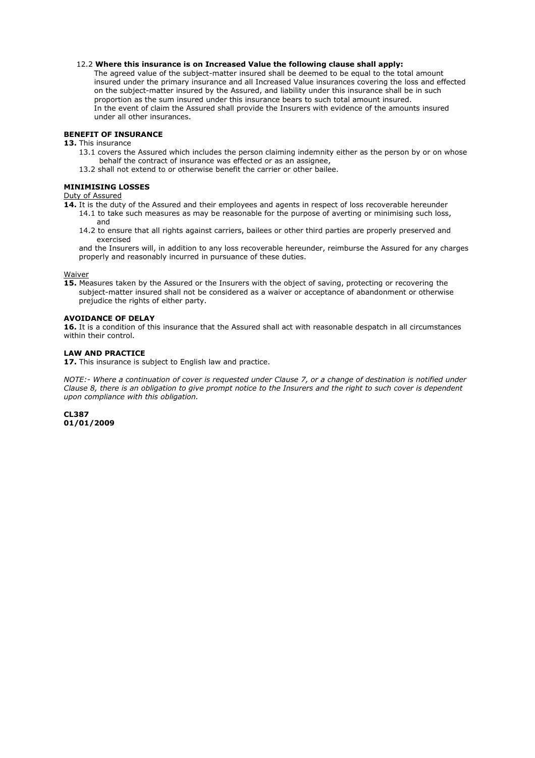## 12.2 **Where this insurance is on Increased Value the following clause shall apply:**

The agreed value of the subject-matter insured shall be deemed to be equal to the total amount insured under the primary insurance and all Increased Value insurances covering the loss and effected on the subject-matter insured by the Assured, and liability under this insurance shall be in such proportion as the sum insured under this insurance bears to such total amount insured. In the event of claim the Assured shall provide the Insurers with evidence of the amounts insured under all other insurances.

# **BENEFIT OF INSURANCE**

# **13.** This insurance

- 13.1 covers the Assured which includes the person claiming indemnity either as the person by or on whose behalf the contract of insurance was effected or as an assignee,
- 13.2 shall not extend to or otherwise benefit the carrier or other bailee.

## **MINIMISING LOSSES**

#### Duty of Assured

- 14. It is the duty of the Assured and their employees and agents in respect of loss recoverable hereunder 14.1 to take such measures as may be reasonable for the purpose of averting or minimising such loss, and
	- 14.2 to ensure that all rights against carriers, bailees or other third parties are properly preserved and exercised

and the Insurers will, in addition to any loss recoverable hereunder, reimburse the Assured for any charges properly and reasonably incurred in pursuance of these duties.

#### Waiver

**15.** Measures taken by the Assured or the Insurers with the object of saving, protecting or recovering the subject-matter insured shall not be considered as a waiver or acceptance of abandonment or otherwise prejudice the rights of either party.

#### **AVOIDANCE OF DELAY**

**16.** It is a condition of this insurance that the Assured shall act with reasonable despatch in all circumstances within their control.

#### **LAW AND PRACTICE**

**17.** This insurance is subject to English law and practice.

*NOTE:- Where a continuation of cover is requested under Clause 7, or a change of destination is notified under Clause 8, there is an obligation to give prompt notice to the Insurers and the right to such cover is dependent upon compliance with this obligation.*

**CL387 01/01/2009**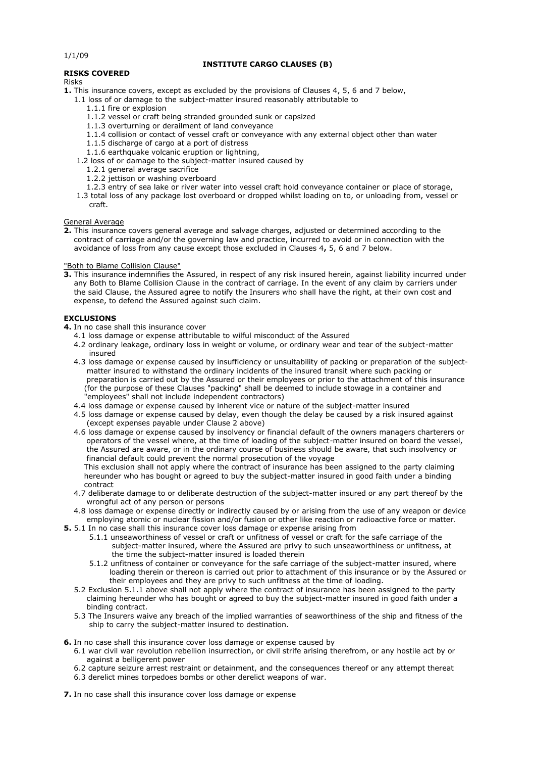## 1/1/09

# **INSTITUTE CARGO CLAUSES (B)**

# **RISKS COVERED**

#### Risks

**1.** This insurance covers, except as excluded by the provisions of Clauses 4, 5, 6 and 7 below,

- 1.1 loss of or damage to the subject-matter insured reasonably attributable to
	- 1.1.1 fire or explosion
	- 1.1.2 vessel or craft being stranded grounded sunk or capsized
	- 1.1.3 overturning or derailment of land conveyance
	- 1.1.4 collision or contact of vessel craft or conveyance with any external object other than water
	- 1.1.5 discharge of cargo at a port of distress
	- 1.1.6 earthquake volcanic eruption or lightning,
	- 1.2 loss of or damage to the subject-matter insured caused by
		- 1.2.1 general average sacrifice
		- 1.2.2 jettison or washing overboard
		- 1.2.3 entry of sea lake or river water into vessel craft hold conveyance container or place of storage,
	- 1.3 total loss of any package lost overboard or dropped whilst loading on to, or unloading from, vessel or craft.

#### General Average

**2.** This insurance covers general average and salvage charges, adjusted or determined according to the contract of carriage and/or the governing law and practice, incurred to avoid or in connection with the avoidance of loss from any cause except those excluded in Clauses 4**,** 5, 6 and 7 below.

## "Both to Blame Collision Clause"

**3.** This insurance indemnifies the Assured, in respect of any risk insured herein, against liability incurred under any Both to Blame Collision Clause in the contract of carriage. In the event of any claim by carriers under the said Clause, the Assured agree to notify the Insurers who shall have the right, at their own cost and expense, to defend the Assured against such claim.

# **EXCLUSIONS**

- **4.** In no case shall this insurance cover
	- 4.1 loss damage or expense attributable to wilful misconduct of the Assured
	- 4.2 ordinary leakage, ordinary loss in weight or volume, or ordinary wear and tear of the subject-matter insured
	- 4.3 loss damage or expense caused by insufficiency or unsuitability of packing or preparation of the subjectmatter insured to withstand the ordinary incidents of the insured transit where such packing or preparation is carried out by the Assured or their employees or prior to the attachment of this insurance (for the purpose of these Clauses "packing" shall be deemed to include stowage in a container and "employees" shall not include independent contractors)
	- 4.4 loss damage or expense caused by inherent vice or nature of the subject-matter insured
	- 4.5 loss damage or expense caused by delay, even though the delay be caused by a risk insured against (except expenses payable under Clause 2 above)
	- 4.6 loss damage or expense caused by insolvency or financial default of the owners managers charterers or operators of the vessel where, at the time of loading of the subject-matter insured on board the vessel, the Assured are aware, or in the ordinary course of business should be aware, that such insolvency or financial default could prevent the normal prosecution of the voyage

This exclusion shall not apply where the contract of insurance has been assigned to the party claiming hereunder who has bought or agreed to buy the subject-matter insured in good faith under a binding contract

- 4.7 deliberate damage to or deliberate destruction of the subject-matter insured or any part thereof by the wrongful act of any person or persons
- 4.8 loss damage or expense directly or indirectly caused by or arising from the use of any weapon or device employing atomic or nuclear fission and/or fusion or other like reaction or radioactive force or matter.
- **5.** 5.1 In no case shall this insurance cover loss damage or expense arising from
	- 5.1.1 unseaworthiness of vessel or craft or unfitness of vessel or craft for the safe carriage of the subject-matter insured, where the Assured are privy to such unseaworthiness or unfitness, at the time the subject-matter insured is loaded therein
	- 5.1.2 unfitness of container or conveyance for the safe carriage of the subject-matter insured, where loading therein or thereon is carried out prior to attachment of this insurance or by the Assured or their employees and they are privy to such unfitness at the time of loading.
	- 5.2 Exclusion 5.1.1 above shall not apply where the contract of insurance has been assigned to the party claiming hereunder who has bought or agreed to buy the subject-matter insured in good faith under a binding contract.
	- 5.3 The Insurers waive any breach of the implied warranties of seaworthiness of the ship and fitness of the ship to carry the subject-matter insured to destination.
- **6.** In no case shall this insurance cover loss damage or expense caused by
	- 6.1 war civil war revolution rebellion insurrection, or civil strife arising therefrom, or any hostile act by or against a belligerent power
	- 6.2 capture seizure arrest restraint or detainment, and the consequences thereof or any attempt thereat 6.3 derelict mines torpedoes bombs or other derelict weapons of war.
- **7.** In no case shall this insurance cover loss damage or expense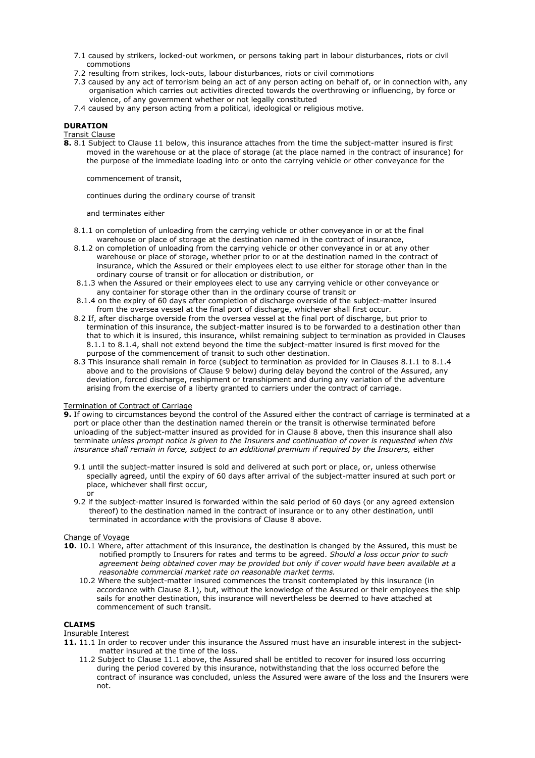- 7.1 caused by strikers, locked-out workmen, or persons taking part in labour disturbances, riots or civil commotions
- 7.2 resulting from strikes, lock-outs, labour disturbances, riots or civil commotions
- 7.3 caused by any act of terrorism being an act of any person acting on behalf of, or in connection with, any organisation which carries out activities directed towards the overthrowing or influencing, by force or violence, of any government whether or not legally constituted
- 7.4 caused by any person acting from a political, ideological or religious motive.

## **DURATION**

## Transit Clause

**8.** 8.1 Subject to Clause 11 below, this insurance attaches from the time the subject-matter insured is first moved in the warehouse or at the place of storage (at the place named in the contract of insurance) for the purpose of the immediate loading into or onto the carrying vehicle or other conveyance for the

commencement of transit,

continues during the ordinary course of transit

and terminates either

- 8.1.1 on completion of unloading from the carrying vehicle or other conveyance in or at the final warehouse or place of storage at the destination named in the contract of insurance,
- 8.1.2 on completion of unloading from the carrying vehicle or other conveyance in or at any other warehouse or place of storage, whether prior to or at the destination named in the contract of insurance, which the Assured or their employees elect to use either for storage other than in the ordinary course of transit or for allocation or distribution, or
- 8.1.3 when the Assured or their employees elect to use any carrying vehicle or other conveyance or any container for storage other than in the ordinary course of transit or
- 8.1.4 on the expiry of 60 days after completion of discharge overside of the subject-matter insured from the oversea vessel at the final port of discharge, whichever shall first occur.
- 8.2 If, after discharge overside from the oversea vessel at the final port of discharge, but prior to termination of this insurance, the subject-matter insured is to be forwarded to a destination other than that to which it is insured, this insurance, whilst remaining subject to termination as provided in Clauses 8.1.1 to 8.1.4, shall not extend beyond the time the subject-matter insured is first moved for the purpose of the commencement of transit to such other destination.
- 8.3 This insurance shall remain in force (subject to termination as provided for in Clauses 8.1.1 to 8.1.4 above and to the provisions of Clause 9 below) during delay beyond the control of the Assured, any deviation, forced discharge, reshipment or transhipment and during any variation of the adventure arising from the exercise of a liberty granted to carriers under the contract of carriage.

## Termination of Contract of Carriage

- **9.** If owing to circumstances beyond the control of the Assured either the contract of carriage is terminated at a port or place other than the destination named therein or the transit is otherwise terminated before unloading of the subject-matter insured as provided for in Clause 8 above, then this insurance shall also terminate *unless prompt notice is given to the Insurers and continuation of cover is requested when this insurance shall remain in force, subject to an additional premium if required by the Insurers,* either
	- 9.1 until the subject-matter insured is sold and delivered at such port or place, or, unless otherwise specially agreed, until the expiry of 60 days after arrival of the subject-matter insured at such port or place, whichever shall first occur, or
	- 9.2 if the subject-matter insured is forwarded within the said period of 60 days (or any agreed extension thereof) to the destination named in the contract of insurance or to any other destination, until terminated in accordance with the provisions of Clause 8 above.

#### Change of Voyage

- **10.** 10.1 Where, after attachment of this insurance, the destination is changed by the Assured, this must be notified promptly to Insurers for rates and terms to be agreed. *Should a loss occur prior to such agreement being obtained cover may be provided but only if cover would have been available at a reasonable commercial market rate on reasonable market terms.*
	- 10.2 Where the subject-matter insured commences the transit contemplated by this insurance (in accordance with Clause 8.1), but, without the knowledge of the Assured or their employees the ship sails for another destination, this insurance will nevertheless be deemed to have attached at commencement of such transit.

## **CLAIMS**

#### Insurable Interest

- **11.** 11.1 In order to recover under this insurance the Assured must have an insurable interest in the subjectmatter insured at the time of the loss.
	- 11.2 Subject to Clause 11.1 above, the Assured shall be entitled to recover for insured loss occurring during the period covered by this insurance, notwithstanding that the loss occurred before the contract of insurance was concluded, unless the Assured were aware of the loss and the Insurers were not.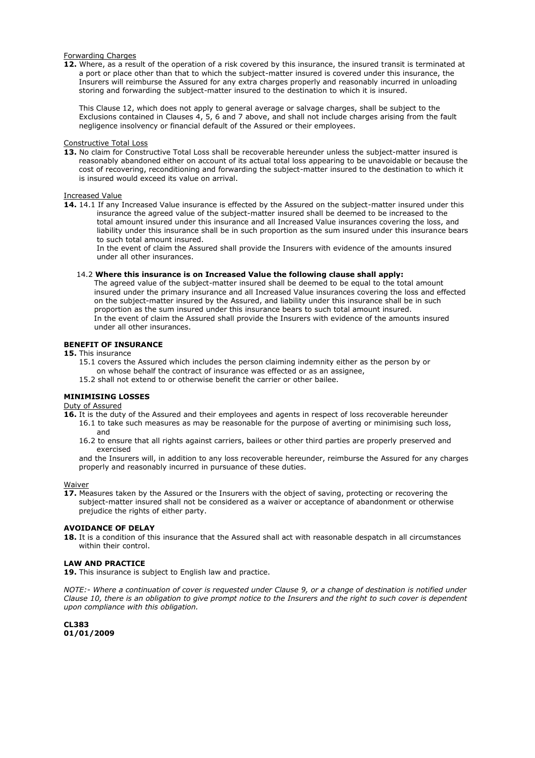# Forwarding Charges

**12.** Where, as a result of the operation of a risk covered by this insurance, the insured transit is terminated at a port or place other than that to which the subject-matter insured is covered under this insurance, the Insurers will reimburse the Assured for any extra charges properly and reasonably incurred in unloading storing and forwarding the subject-matter insured to the destination to which it is insured.

This Clause 12, which does not apply to general average or salvage charges, shall be subject to the Exclusions contained in Clauses 4, 5, 6 and 7 above, and shall not include charges arising from the fault negligence insolvency or financial default of the Assured or their employees.

#### Constructive Total Loss

**13.** No claim for Constructive Total Loss shall be recoverable hereunder unless the subject-matter insured is reasonably abandoned either on account of its actual total loss appearing to be unavoidable or because the cost of recovering, reconditioning and forwarding the subject-matter insured to the destination to which it is insured would exceed its value on arrival.

## Increased Value

**14.** 14.1 If any Increased Value insurance is effected by the Assured on the subject-matter insured under this insurance the agreed value of the subject-matter insured shall be deemed to be increased to the total amount insured under this insurance and all Increased Value insurances covering the loss, and liability under this insurance shall be in such proportion as the sum insured under this insurance bears to such total amount insured.

In the event of claim the Assured shall provide the Insurers with evidence of the amounts insured under all other insurances.

## 14.2 **Where this insurance is on Increased Value the following clause shall apply:**

The agreed value of the subject-matter insured shall be deemed to be equal to the total amount insured under the primary insurance and all Increased Value insurances covering the loss and effected on the subject-matter insured by the Assured, and liability under this insurance shall be in such proportion as the sum insured under this insurance bears to such total amount insured. In the event of claim the Assured shall provide the Insurers with evidence of the amounts insured under all other insurances.

# **BENEFIT OF INSURANCE**

## **15.** This insurance

- 15.1 covers the Assured which includes the person claiming indemnity either as the person by or on whose behalf the contract of insurance was effected or as an assignee,
- 15.2 shall not extend to or otherwise benefit the carrier or other bailee.

# **MINIMISING LOSSES**

#### Duty of Assured

- **16.** It is the duty of the Assured and their employees and agents in respect of loss recoverable hereunder 16.1 to take such measures as may be reasonable for the purpose of averting or minimising such loss, and
	- 16.2 to ensure that all rights against carriers, bailees or other third parties are properly preserved and exercised

and the Insurers will, in addition to any loss recoverable hereunder, reimburse the Assured for any charges properly and reasonably incurred in pursuance of these duties.

#### Waiver

**17.** Measures taken by the Assured or the Insurers with the object of saving, protecting or recovering the subject-matter insured shall not be considered as a waiver or acceptance of abandonment or otherwise prejudice the rights of either party.

## **AVOIDANCE OF DELAY**

**18.** It is a condition of this insurance that the Assured shall act with reasonable despatch in all circumstances within their control.

## **LAW AND PRACTICE**

**19.** This insurance is subject to English law and practice.

*NOTE:- Where a continuation of cover is requested under Clause 9, or a change of destination is notified under Clause 10, there is an obligation to give prompt notice to the Insurers and the right to such cover is dependent upon compliance with this obligation.*

**CL383 01/01/2009**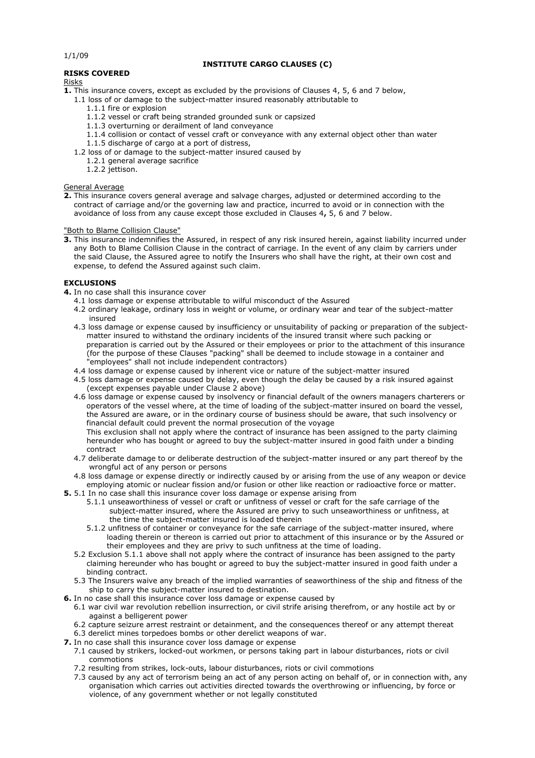1/1/09

# **INSTITUTE CARGO CLAUSES (C)**

# **RISKS COVERED**

## Risks

**1.** This insurance covers, except as excluded by the provisions of Clauses 4, 5, 6 and 7 below,

- 1.1 loss of or damage to the subject-matter insured reasonably attributable to
	- 1.1.1 fire or explosion
	- 1.1.2 vessel or craft being stranded grounded sunk or capsized
	- 1.1.3 overturning or derailment of land conveyance
	- 1.1.4 collision or contact of vessel craft or conveyance with any external object other than water
	- 1.1.5 discharge of cargo at a port of distress,
	- 1.2 loss of or damage to the subject-matter insured caused by
		- 1.2.1 general average sacrifice
- 1.2.2 jettison.

General Average

**2.** This insurance covers general average and salvage charges, adjusted or determined according to the contract of carriage and/or the governing law and practice, incurred to avoid or in connection with the avoidance of loss from any cause except those excluded in Clauses 4**,** 5, 6 and 7 below.

"Both to Blame Collision Clause"

**3.** This insurance indemnifies the Assured, in respect of any risk insured herein, against liability incurred under any Both to Blame Collision Clause in the contract of carriage. In the event of any claim by carriers under the said Clause, the Assured agree to notify the Insurers who shall have the right, at their own cost and expense, to defend the Assured against such claim.

# **EXCLUSIONS**

- **4.** In no case shall this insurance cover
	- 4.1 loss damage or expense attributable to wilful misconduct of the Assured
	- 4.2 ordinary leakage, ordinary loss in weight or volume, or ordinary wear and tear of the subject-matter insured
	- 4.3 loss damage or expense caused by insufficiency or unsuitability of packing or preparation of the subjectmatter insured to withstand the ordinary incidents of the insured transit where such packing or preparation is carried out by the Assured or their employees or prior to the attachment of this insurance (for the purpose of these Clauses "packing" shall be deemed to include stowage in a container and "employees" shall not include independent contractors)
	- 4.4 loss damage or expense caused by inherent vice or nature of the subject-matter insured
	- 4.5 loss damage or expense caused by delay, even though the delay be caused by a risk insured against (except expenses payable under Clause 2 above)
	- 4.6 loss damage or expense caused by insolvency or financial default of the owners managers charterers or operators of the vessel where, at the time of loading of the subject-matter insured on board the vessel, the Assured are aware, or in the ordinary course of business should be aware, that such insolvency or financial default could prevent the normal prosecution of the voyage

This exclusion shall not apply where the contract of insurance has been assigned to the party claiming hereunder who has bought or agreed to buy the subject-matter insured in good faith under a binding contract

- 4.7 deliberate damage to or deliberate destruction of the subject-matter insured or any part thereof by the wrongful act of any person or persons
- 4.8 loss damage or expense directly or indirectly caused by or arising from the use of any weapon or device employing atomic or nuclear fission and/or fusion or other like reaction or radioactive force or matter.
- **5.** 5.1 In no case shall this insurance cover loss damage or expense arising from
	- 5.1.1 unseaworthiness of vessel or craft or unfitness of vessel or craft for the safe carriage of the subject-matter insured, where the Assured are privy to such unseaworthiness or unfitness, at the time the subject-matter insured is loaded therein
	- 5.1.2 unfitness of container or conveyance for the safe carriage of the subject-matter insured, where loading therein or thereon is carried out prior to attachment of this insurance or by the Assured or their employees and they are privy to such unfitness at the time of loading.
	- 5.2 Exclusion 5.1.1 above shall not apply where the contract of insurance has been assigned to the party claiming hereunder who has bought or agreed to buy the subject-matter insured in good faith under a binding contract.
	- 5.3 The Insurers waive any breach of the implied warranties of seaworthiness of the ship and fitness of the ship to carry the subject-matter insured to destination.
- **6.** In no case shall this insurance cover loss damage or expense caused by
	- 6.1 war civil war revolution rebellion insurrection, or civil strife arising therefrom, or any hostile act by or against a belligerent power
	- 6.2 capture seizure arrest restraint or detainment, and the consequences thereof or any attempt thereat 6.3 derelict mines torpedoes bombs or other derelict weapons of war.
- **7.** In no case shall this insurance cover loss damage or expense
	- 7.1 caused by strikers, locked-out workmen, or persons taking part in labour disturbances, riots or civil commotions
	- 7.2 resulting from strikes, lock-outs, labour disturbances, riots or civil commotions
	- 7.3 caused by any act of terrorism being an act of any person acting on behalf of, or in connection with, any organisation which carries out activities directed towards the overthrowing or influencing, by force or violence, of any government whether or not legally constituted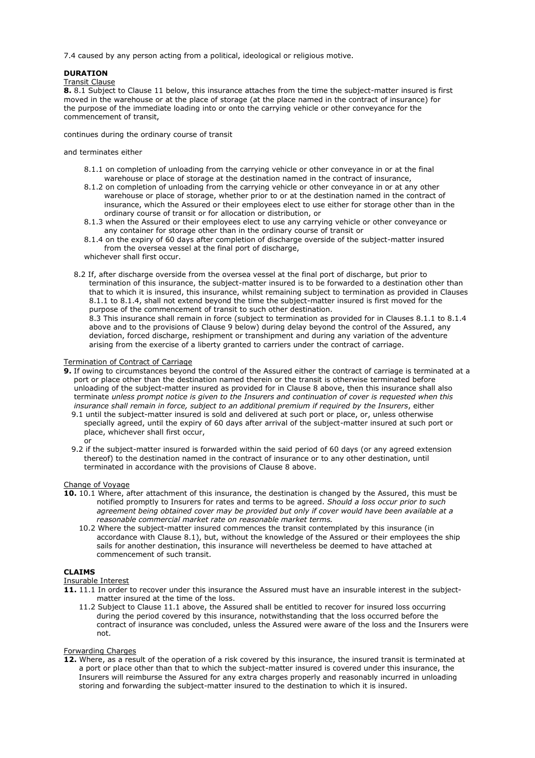7.4 caused by any person acting from a political, ideological or religious motive.

## **DURATION**

## Transit Clause

**8.** 8.1 Subject to Clause 11 below, this insurance attaches from the time the subject-matter insured is first moved in the warehouse or at the place of storage (at the place named in the contract of insurance) for the purpose of the immediate loading into or onto the carrying vehicle or other conveyance for the commencement of transit,

continues during the ordinary course of transit

and terminates either

- 8.1.1 on completion of unloading from the carrying vehicle or other conveyance in or at the final warehouse or place of storage at the destination named in the contract of insurance,
- 8.1.2 on completion of unloading from the carrying vehicle or other conveyance in or at any other warehouse or place of storage, whether prior to or at the destination named in the contract of insurance, which the Assured or their employees elect to use either for storage other than in the ordinary course of transit or for allocation or distribution, or
- 8.1.3 when the Assured or their employees elect to use any carrying vehicle or other conveyance or any container for storage other than in the ordinary course of transit or
- 8.1.4 on the expiry of 60 days after completion of discharge overside of the subject-matter insured from the oversea vessel at the final port of discharge,

whichever shall first occur.

8.2 If, after discharge overside from the oversea vessel at the final port of discharge, but prior to termination of this insurance, the subject-matter insured is to be forwarded to a destination other than that to which it is insured, this insurance, whilst remaining subject to termination as provided in Clauses 8.1.1 to 8.1.4, shall not extend beyond the time the subject-matter insured is first moved for the purpose of the commencement of transit to such other destination.

8.3 This insurance shall remain in force (subject to termination as provided for in Clauses 8.1.1 to 8.1.4 above and to the provisions of Clause 9 below) during delay beyond the control of the Assured, any deviation, forced discharge, reshipment or transhipment and during any variation of the adventure arising from the exercise of a liberty granted to carriers under the contract of carriage.

# Termination of Contract of Carriage

- **9.** If owing to circumstances beyond the control of the Assured either the contract of carriage is terminated at a port or place other than the destination named therein or the transit is otherwise terminated before unloading of the subject-matter insured as provided for in Clause 8 above, then this insurance shall also terminate *unless prompt notice is given to the Insurers and continuation of cover is requested when this insurance shall remain in force, subject to an additional premium if required by the Insurers*, either
	- 9.1 until the subject-matter insured is sold and delivered at such port or place, or, unless otherwise specially agreed, until the expiry of 60 days after arrival of the subject-matter insured at such port or place, whichever shall first occur, or
	- 9.2 if the subject-matter insured is forwarded within the said period of 60 days (or any agreed extension thereof) to the destination named in the contract of insurance or to any other destination, until terminated in accordance with the provisions of Clause 8 above.

#### Change of Voyage

- **10.** 10.1 Where, after attachment of this insurance, the destination is changed by the Assured, this must be notified promptly to Insurers for rates and terms to be agreed. *Should a loss occur prior to such agreement being obtained cover may be provided but only if cover would have been available at a reasonable commercial market rate on reasonable market terms.*
	- 10.2 Where the subject-matter insured commences the transit contemplated by this insurance (in accordance with Clause 8.1), but, without the knowledge of the Assured or their employees the ship sails for another destination, this insurance will nevertheless be deemed to have attached at commencement of such transit.

# **CLAIMS**

## Insurable Interest

- **11.** 11.1 In order to recover under this insurance the Assured must have an insurable interest in the subjectmatter insured at the time of the loss.
	- 11.2 Subject to Clause 11.1 above, the Assured shall be entitled to recover for insured loss occurring during the period covered by this insurance, notwithstanding that the loss occurred before the contract of insurance was concluded, unless the Assured were aware of the loss and the Insurers were not.

#### Forwarding Charges

**12.** Where, as a result of the operation of a risk covered by this insurance, the insured transit is terminated at a port or place other than that to which the subject-matter insured is covered under this insurance, the Insurers will reimburse the Assured for any extra charges properly and reasonably incurred in unloading storing and forwarding the subject-matter insured to the destination to which it is insured.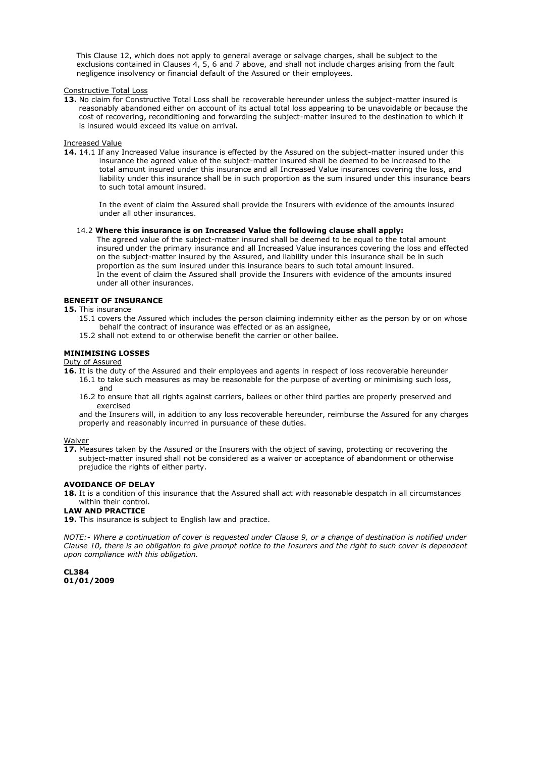This Clause 12, which does not apply to general average or salvage charges, shall be subject to the exclusions contained in Clauses 4, 5, 6 and 7 above, and shall not include charges arising from the fault negligence insolvency or financial default of the Assured or their employees.

Constructive Total Loss

**13.** No claim for Constructive Total Loss shall be recoverable hereunder unless the subject-matter insured is reasonably abandoned either on account of its actual total loss appearing to be unavoidable or because the cost of recovering, reconditioning and forwarding the subject-matter insured to the destination to which it is insured would exceed its value on arrival.

## Increased Value

**14.** 14.1 If any Increased Value insurance is effected by the Assured on the subject-matter insured under this insurance the agreed value of the subject-matter insured shall be deemed to be increased to the total amount insured under this insurance and all Increased Value insurances covering the loss, and liability under this insurance shall be in such proportion as the sum insured under this insurance bears to such total amount insured.

In the event of claim the Assured shall provide the Insurers with evidence of the amounts insured under all other insurances.

# 14.2 **Where this insurance is on Increased Value the following clause shall apply:**

The agreed value of the subject-matter insured shall be deemed to be equal to the total amount insured under the primary insurance and all Increased Value insurances covering the loss and effected on the subject-matter insured by the Assured, and liability under this insurance shall be in such proportion as the sum insured under this insurance bears to such total amount insured. In the event of claim the Assured shall provide the Insurers with evidence of the amounts insured under all other insurances.

## **BENEFIT OF INSURANCE**

- **15.** This insurance
	- 15.1 covers the Assured which includes the person claiming indemnity either as the person by or on whose behalf the contract of insurance was effected or as an assignee,
	- 15.2 shall not extend to or otherwise benefit the carrier or other bailee.

# **MINIMISING LOSSES**

## Duty of Assured

- **16.** It is the duty of the Assured and their employees and agents in respect of loss recoverable hereunder 16.1 to take such measures as may be reasonable for the purpose of averting or minimising such loss, and
	- 16.2 to ensure that all rights against carriers, bailees or other third parties are properly preserved and exercised

and the Insurers will, in addition to any loss recoverable hereunder, reimburse the Assured for any charges properly and reasonably incurred in pursuance of these duties.

#### Waiver

**17.** Measures taken by the Assured or the Insurers with the object of saving, protecting or recovering the subject-matter insured shall not be considered as a waiver or acceptance of abandonment or otherwise prejudice the rights of either party.

# **AVOIDANCE OF DELAY**

**18.** It is a condition of this insurance that the Assured shall act with reasonable despatch in all circumstances within their control.

#### **LAW AND PRACTICE**

**19.** This insurance is subject to English law and practice.

*NOTE:- Where a continuation of cover is requested under Clause 9, or a change of destination is notified under Clause 10, there is an obligation to give prompt notice to the Insurers and the right to such cover is dependent upon compliance with this obligation.*

**CL384 01/01/2009**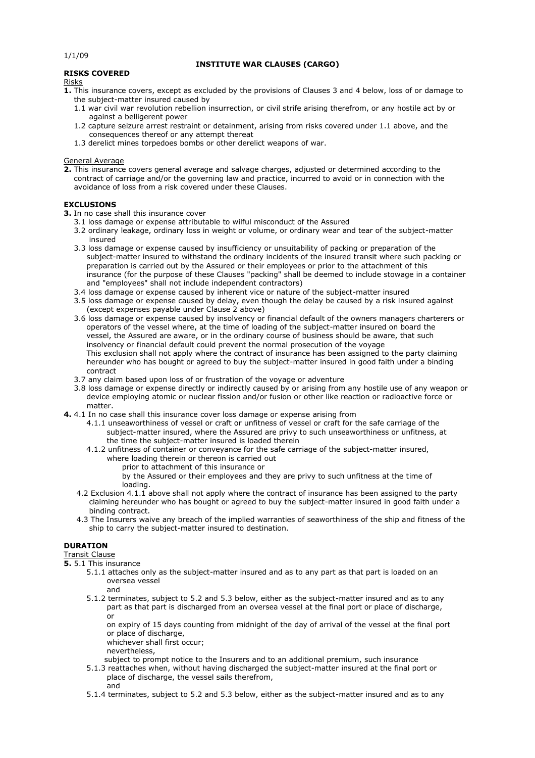## 1/1/09

## **INSTITUTE WAR CLAUSES (CARGO)**

# **RISKS COVERED**

#### Risks

- **1.** This insurance covers, except as excluded by the provisions of Clauses 3 and 4 below, loss of or damage to the subject-matter insured caused by
	- 1.1 war civil war revolution rebellion insurrection, or civil strife arising therefrom, or any hostile act by or against a belligerent power
	- 1.2 capture seizure arrest restraint or detainment, arising from risks covered under 1.1 above, and the consequences thereof or any attempt thereat
	- 1.3 derelict mines torpedoes bombs or other derelict weapons of war.

#### General Average

**2.** This insurance covers general average and salvage charges, adjusted or determined according to the contract of carriage and/or the governing law and practice, incurred to avoid or in connection with the avoidance of loss from a risk covered under these Clauses.

# **EXCLUSIONS**

- **3.** In no case shall this insurance cover
	- 3.1 loss damage or expense attributable to wilful misconduct of the Assured
	- 3.2 ordinary leakage, ordinary loss in weight or volume, or ordinary wear and tear of the subject-matter insured
	- 3.3 loss damage or expense caused by insufficiency or unsuitability of packing or preparation of the subject-matter insured to withstand the ordinary incidents of the insured transit where such packing or preparation is carried out by the Assured or their employees or prior to the attachment of this insurance (for the purpose of these Clauses "packing" shall be deemed to include stowage in a container and "employees" shall not include independent contractors)
	- 3.4 loss damage or expense caused by inherent vice or nature of the subject-matter insured
	- 3.5 loss damage or expense caused by delay, even though the delay be caused by a risk insured against (except expenses payable under Clause 2 above)
	- 3.6 loss damage or expense caused by insolvency or financial default of the owners managers charterers or operators of the vessel where, at the time of loading of the subject-matter insured on board the vessel, the Assured are aware, or in the ordinary course of business should be aware, that such insolvency or financial default could prevent the normal prosecution of the voyage This exclusion shall not apply where the contract of insurance has been assigned to the party claiming hereunder who has bought or agreed to buy the subject-matter insured in good faith under a binding contract
	- 3.7 any claim based upon loss of or frustration of the voyage or adventure
	- 3.8 loss damage or expense directly or indirectly caused by or arising from any hostile use of any weapon or device employing atomic or nuclear fission and/or fusion or other like reaction or radioactive force or matter.
- **4.** 4.1 In no case shall this insurance cover loss damage or expense arising from
	- 4.1.1 unseaworthiness of vessel or craft or unfitness of vessel or craft for the safe carriage of the subject-matter insured, where the Assured are privy to such unseaworthiness or unfitness, at the time the subject-matter insured is loaded therein
	- 4.1.2 unfitness of container or conveyance for the safe carriage of the subject-matter insured, where loading therein or thereon is carried out
		- prior to attachment of this insurance or
		- by the Assured or their employees and they are privy to such unfitness at the time of loading.
	- 4.2 Exclusion 4.1.1 above shall not apply where the contract of insurance has been assigned to the party claiming hereunder who has bought or agreed to buy the subject-matter insured in good faith under a binding contract.
	- 4.3 The Insurers waive any breach of the implied warranties of seaworthiness of the ship and fitness of the ship to carry the subject-matter insured to destination.

# **DURATION**

Transit Clause **5.** 5.1 This insurance

- 5.1.1 attaches only as the subject-matter insured and as to any part as that part is loaded on an oversea vessel
	- and
- 5.1.2 terminates, subject to 5.2 and 5.3 below, either as the subject-matter insured and as to any part as that part is discharged from an oversea vessel at the final port or place of discharge, or

on expiry of 15 days counting from midnight of the day of arrival of the vessel at the final port or place of discharge,

- whichever shall first occur:
- nevertheless,

subject to prompt notice to the Insurers and to an additional premium, such insurance

- 5.1.3 reattaches when, without having discharged the subject-matter insured at the final port or place of discharge, the vessel sails therefrom,
	- and
- 5.1.4 terminates, subject to 5.2 and 5.3 below, either as the subject-matter insured and as to any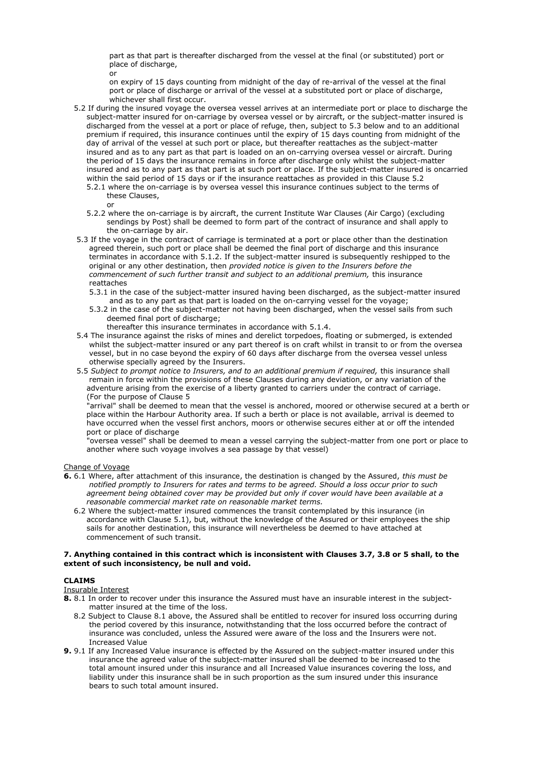part as that part is thereafter discharged from the vessel at the final (or substituted) port or place of discharge, or

on expiry of 15 days counting from midnight of the day of re-arrival of the vessel at the final port or place of discharge or arrival of the vessel at a substituted port or place of discharge, whichever shall first occur.

- 5.2 If during the insured voyage the oversea vessel arrives at an intermediate port or place to discharge the subject-matter insured for on-carriage by oversea vessel or by aircraft, or the subject-matter insured is discharged from the vessel at a port or place of refuge, then, subject to 5.3 below and to an additional premium if required, this insurance continues until the expiry of 15 days counting from midnight of the day of arrival of the vessel at such port or place, but thereafter reattaches as the subject-matter insured and as to any part as that part is loaded on an on-carrying oversea vessel or aircraft. During the period of 15 days the insurance remains in force after discharge only whilst the subject-matter insured and as to any part as that part is at such port or place. If the subject-matter insured is oncarried within the said period of 15 days or if the insurance reattaches as provided in this Clause 5.2
	- 5.2.1 where the on-carriage is by oversea vessel this insurance continues subject to the terms of these Clauses, or
	- 5.2.2 where the on-carriage is by aircraft, the current Institute War Clauses (Air Cargo) (excluding sendings by Post) shall be deemed to form part of the contract of insurance and shall apply to the on-carriage by air.
- 5.3 If the voyage in the contract of carriage is terminated at a port or place other than the destination agreed therein, such port or place shall be deemed the final port of discharge and this insurance terminates in accordance with 5.1.2. If the subject-matter insured is subsequently reshipped to the original or any other destination, then *provided notice is given to the Insurers before the commencement of such further transit and subject to an additional premium,* this insurance reattaches
	- 5.3.1 in the case of the subject-matter insured having been discharged, as the subject-matter insured and as to any part as that part is loaded on the on-carrying vessel for the voyage;
	- 5.3.2 in the case of the subject-matter not having been discharged, when the vessel sails from such deemed final port of discharge;
		- thereafter this insurance terminates in accordance with 5.1.4.
- 5.4 The insurance against the risks of mines and derelict torpedoes, floating or submerged, is extended whilst the subject-matter insured or any part thereof is on craft whilst in transit to or from the oversea vessel, but in no case beyond the expiry of 60 days after discharge from the oversea vessel unless otherwise specially agreed by the Insurers.
- 5.5 *Subject to prompt notice to Insurers, and to an additional premium if required,* this insurance shall remain in force within the provisions of these Clauses during any deviation, or any variation of the adventure arising from the exercise of a liberty granted to carriers under the contract of carriage. (For the purpose of Clause 5

"arrival" shall be deemed to mean that the vessel is anchored, moored or otherwise secured at a berth or place within the Harbour Authority area. If such a berth or place is not available, arrival is deemed to have occurred when the vessel first anchors, moors or otherwise secures either at or off the intended port or place of discharge

"oversea vessel" shall be deemed to mean a vessel carrying the subject-matter from one port or place to another where such voyage involves a sea passage by that vessel)

Change of Voyage

- **6.** 6.1 Where, after attachment of this insurance, the destination is changed by the Assured, *this must be notified promptly to Insurers for rates and terms to be agreed. Should a loss occur prior to such agreement being obtained cover may be provided but only if cover would have been available at a reasonable commercial market rate on reasonable market terms.*
	- 6.2 Where the subject-matter insured commences the transit contemplated by this insurance (in accordance with Clause 5.1), but, without the knowledge of the Assured or their employees the ship sails for another destination, this insurance will nevertheless be deemed to have attached at commencement of such transit.

## **7. Anything contained in this contract which is inconsistent with Clauses 3.7, 3.8 or 5 shall, to the extent of such inconsistency, be null and void.**

# **CLAIMS**

Insurable Interest

- **8.** 8.1 In order to recover under this insurance the Assured must have an insurable interest in the subjectmatter insured at the time of the loss.
	- 8.2 Subject to Clause 8.1 above, the Assured shall be entitled to recover for insured loss occurring during the period covered by this insurance, notwithstanding that the loss occurred before the contract of insurance was concluded, unless the Assured were aware of the loss and the Insurers were not. Increased Value
- **9.** 9.1 If any Increased Value insurance is effected by the Assured on the subject-matter insured under this insurance the agreed value of the subject-matter insured shall be deemed to be increased to the total amount insured under this insurance and all Increased Value insurances covering the loss, and liability under this insurance shall be in such proportion as the sum insured under this insurance bears to such total amount insured.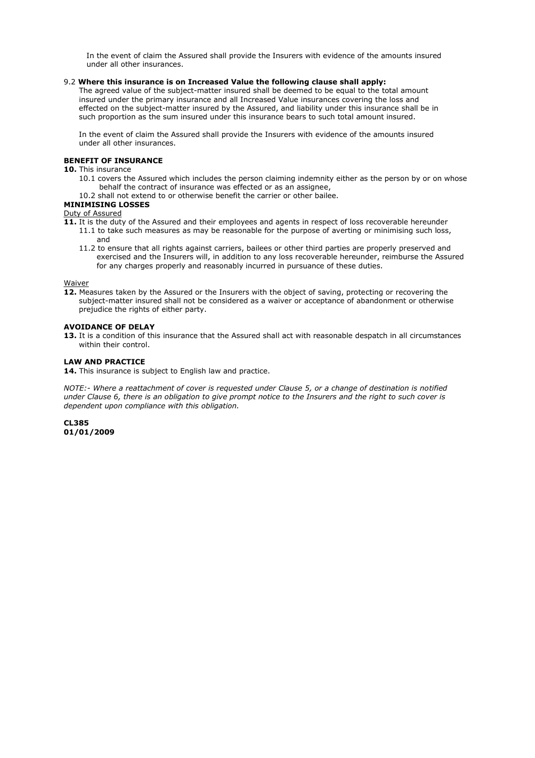In the event of claim the Assured shall provide the Insurers with evidence of the amounts insured under all other insurances.

# 9.2 **Where this insurance is on Increased Value the following clause shall apply:**

The agreed value of the subject-matter insured shall be deemed to be equal to the total amount insured under the primary insurance and all Increased Value insurances covering the loss and effected on the subject-matter insured by the Assured, and liability under this insurance shall be in such proportion as the sum insured under this insurance bears to such total amount insured.

In the event of claim the Assured shall provide the Insurers with evidence of the amounts insured under all other insurances.

# **BENEFIT OF INSURANCE**

# **10.** This insurance

- 10.1 covers the Assured which includes the person claiming indemnity either as the person by or on whose behalf the contract of insurance was effected or as an assignee,
- 10.2 shall not extend to or otherwise benefit the carrier or other bailee.

## **MINIMISING LOSSES**

## Duty of Assured

- 11. It is the duty of the Assured and their employees and agents in respect of loss recoverable hereunder 11.1 to take such measures as may be reasonable for the purpose of averting or minimising such loss, and
	- 11.2 to ensure that all rights against carriers, bailees or other third parties are properly preserved and exercised and the Insurers will, in addition to any loss recoverable hereunder, reimburse the Assured for any charges properly and reasonably incurred in pursuance of these duties.

## Waiver

**12.** Measures taken by the Assured or the Insurers with the object of saving, protecting or recovering the subject-matter insured shall not be considered as a waiver or acceptance of abandonment or otherwise prejudice the rights of either party.

# **AVOIDANCE OF DELAY**

**13.** It is a condition of this insurance that the Assured shall act with reasonable despatch in all circumstances within their control.

## **LAW AND PRACTICE**

**14.** This insurance is subject to English law and practice.

*NOTE:- Where a reattachment of cover is requested under Clause 5, or a change of destination is notified under Clause 6, there is an obligation to give prompt notice to the Insurers and the right to such cover is dependent upon compliance with this obligation.*

**CL385 01/01/2009**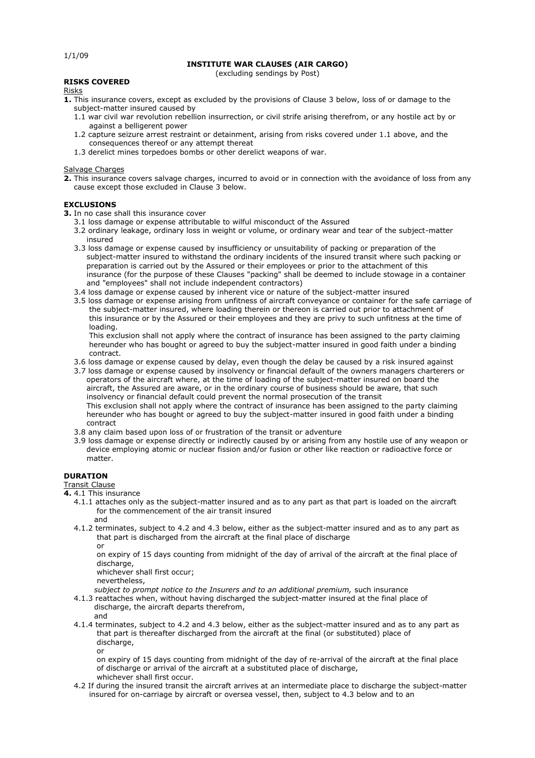# **INSTITUTE WAR CLAUSES (AIR CARGO)**

(excluding sendings by Post)

# **RISKS COVERED**

Risks

- **1.** This insurance covers, except as excluded by the provisions of Clause 3 below, loss of or damage to the subject-matter insured caused by
	- 1.1 war civil war revolution rebellion insurrection, or civil strife arising therefrom, or any hostile act by or against a belligerent power
	- 1.2 capture seizure arrest restraint or detainment, arising from risks covered under 1.1 above, and the consequences thereof or any attempt thereat
	- 1.3 derelict mines torpedoes bombs or other derelict weapons of war.

## Salvage Charges

**2.** This insurance covers salvage charges, incurred to avoid or in connection with the avoidance of loss from any cause except those excluded in Clause 3 below.

# **EXCLUSIONS**

- **3.** In no case shall this insurance cover
	- 3.1 loss damage or expense attributable to wilful misconduct of the Assured
	- 3.2 ordinary leakage, ordinary loss in weight or volume, or ordinary wear and tear of the subject-matter insured
	- 3.3 loss damage or expense caused by insufficiency or unsuitability of packing or preparation of the subject-matter insured to withstand the ordinary incidents of the insured transit where such packing or preparation is carried out by the Assured or their employees or prior to the attachment of this insurance (for the purpose of these Clauses "packing" shall be deemed to include stowage in a container and "employees" shall not include independent contractors)
	- 3.4 loss damage or expense caused by inherent vice or nature of the subject-matter insured
	- 3.5 loss damage or expense arising from unfitness of aircraft conveyance or container for the safe carriage of the subject-matter insured, where loading therein or thereon is carried out prior to attachment of this insurance or by the Assured or their employees and they are privy to such unfitness at the time of loading.

This exclusion shall not apply where the contract of insurance has been assigned to the party claiming hereunder who has bought or agreed to buy the subject-matter insured in good faith under a binding contract.

- 3.6 loss damage or expense caused by delay, even though the delay be caused by a risk insured against
- 3.7 loss damage or expense caused by insolvency or financial default of the owners managers charterers or operators of the aircraft where, at the time of loading of the subject-matter insured on board the aircraft, the Assured are aware, or in the ordinary course of business should be aware, that such insolvency or financial default could prevent the normal prosecution of the transit This exclusion shall not apply where the contract of insurance has been assigned to the party claiming hereunder who has bought or agreed to buy the subject-matter insured in good faith under a binding contract
- 3.8 any claim based upon loss of or frustration of the transit or adventure
- 3.9 loss damage or expense directly or indirectly caused by or arising from any hostile use of any weapon or device employing atomic or nuclear fission and/or fusion or other like reaction or radioactive force or matter.

# **DURATION**

- Transit Clause
- **4.** 4.1 This insurance
	- 4.1.1 attaches only as the subject-matter insured and as to any part as that part is loaded on the aircraft for the commencement of the air transit insured and
	- 4.1.2 terminates, subject to 4.2 and 4.3 below, either as the subject-matter insured and as to any part as that part is discharged from the aircraft at the final place of discharge

or on expiry of 15 days counting from midnight of the day of arrival of the aircraft at the final place of discharge,

whichever shall first occur;

nevertheless,

*subject to prompt notice to the Insurers and to an additional premium,* such insurance

- 4.1.3 reattaches when, without having discharged the subject-matter insured at the final place of discharge, the aircraft departs therefrom,
	- and
- 4.1.4 terminates, subject to 4.2 and 4.3 below, either as the subject-matter insured and as to any part as that part is thereafter discharged from the aircraft at the final (or substituted) place of discharge,

or

on expiry of 15 days counting from midnight of the day of re-arrival of the aircraft at the final place of discharge or arrival of the aircraft at a substituted place of discharge, whichever shall first occur.

4.2 If during the insured transit the aircraft arrives at an intermediate place to discharge the subject-matter insured for on-carriage by aircraft or oversea vessel, then, subject to 4.3 below and to an

1/1/09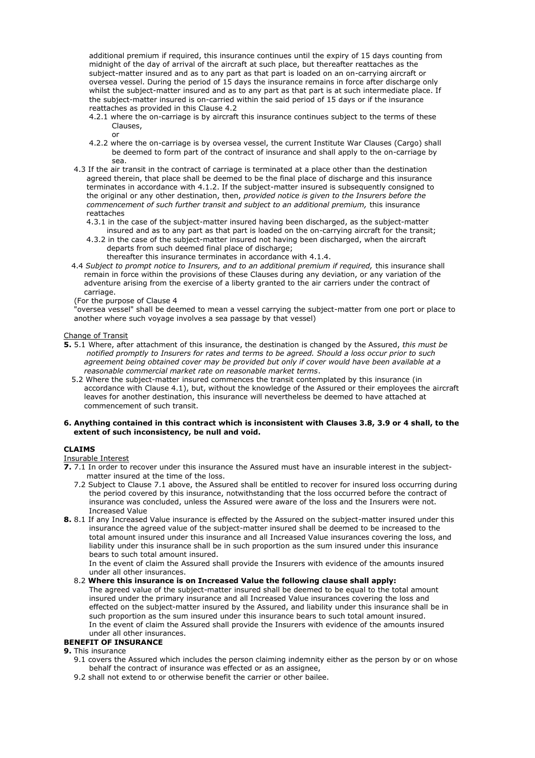additional premium if required, this insurance continues until the expiry of 15 days counting from midnight of the day of arrival of the aircraft at such place, but thereafter reattaches as the subject-matter insured and as to any part as that part is loaded on an on-carrying aircraft or oversea vessel. During the period of 15 days the insurance remains in force after discharge only whilst the subject-matter insured and as to any part as that part is at such intermediate place. If the subject-matter insured is on-carried within the said period of 15 days or if the insurance reattaches as provided in this Clause 4.2

- 4.2.1 where the on-carriage is by aircraft this insurance continues subject to the terms of these Clauses, or
- 4.2.2 where the on-carriage is by oversea vessel, the current Institute War Clauses (Cargo) shall be deemed to form part of the contract of insurance and shall apply to the on-carriage by sea.
- 4.3 If the air transit in the contract of carriage is terminated at a place other than the destination agreed therein, that place shall be deemed to be the final place of discharge and this insurance terminates in accordance with 4.1.2. If the subject-matter insured is subsequently consigned to the original or any other destination, then, *provided notice is given to the Insurers before the commencement of such further transit and subject to an additional premium,* this insurance reattaches
	- 4.3.1 in the case of the subject-matter insured having been discharged, as the subject-matter insured and as to any part as that part is loaded on the on-carrying aircraft for the transit;
	- 4.3.2 in the case of the subject-matter insured not having been discharged, when the aircraft departs from such deemed final place of discharge;
		- thereafter this insurance terminates in accordance with 4.1.4.
- 4.4 *Subject to prompt notice to Insurers, and to an additional premium if required,* this insurance shall remain in force within the provisions of these Clauses during any deviation, or any variation of the adventure arising from the exercise of a liberty granted to the air carriers under the contract of carriage.

(For the purpose of Clause 4

"oversea vessel" shall be deemed to mean a vessel carrying the subject-matter from one port or place to another where such voyage involves a sea passage by that vessel)

## Change of Transit

- **5.** 5.1 Where, after attachment of this insurance, the destination is changed by the Assured, *this must be notified promptly to Insurers for rates and terms to be agreed. Should a loss occur prior to such agreement being obtained cover may be provided but only if cover would have been available at a reasonable commercial market rate on reasonable market terms*.
	- 5.2 Where the subject-matter insured commences the transit contemplated by this insurance (in accordance with Clause 4.1), but, without the knowledge of the Assured or their employees the aircraft leaves for another destination, this insurance will nevertheless be deemed to have attached at commencement of such transit.

## **6. Anything contained in this contract which is inconsistent with Clauses 3.8, 3.9 or 4 shall, to the extent of such inconsistency, be null and void.**

# **CLAIMS**

Insurable Interest

- **7.** 7.1 In order to recover under this insurance the Assured must have an insurable interest in the subjectmatter insured at the time of the loss.
	- 7.2 Subject to Clause 7.1 above, the Assured shall be entitled to recover for insured loss occurring during the period covered by this insurance, notwithstanding that the loss occurred before the contract of insurance was concluded, unless the Assured were aware of the loss and the Insurers were not. Increased Value
- **8.** 8.1 If any Increased Value insurance is effected by the Assured on the subject-matter insured under this insurance the agreed value of the subject-matter insured shall be deemed to be increased to the total amount insured under this insurance and all Increased Value insurances covering the loss, and liability under this insurance shall be in such proportion as the sum insured under this insurance bears to such total amount insured.

In the event of claim the Assured shall provide the Insurers with evidence of the amounts insured under all other insurances.

8.2 **Where this insurance is on Increased Value the following clause shall apply:** The agreed value of the subject-matter insured shall be deemed to be equal to the total amount insured under the primary insurance and all Increased Value insurances covering the loss and effected on the subject-matter insured by the Assured, and liability under this insurance shall be in such proportion as the sum insured under this insurance bears to such total amount insured. In the event of claim the Assured shall provide the Insurers with evidence of the amounts insured under all other insurances.

# **BENEFIT OF INSURANCE**

# **9.** This insurance

- 9.1 covers the Assured which includes the person claiming indemnity either as the person by or on whose behalf the contract of insurance was effected or as an assignee,
- 9.2 shall not extend to or otherwise benefit the carrier or other bailee.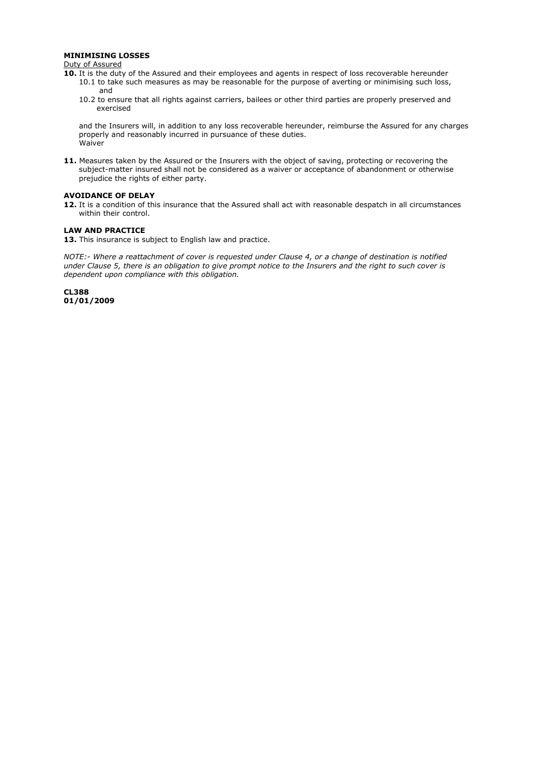# **MINIMISING LOSSES**

#### Duty of Assured

- **10.** It is the duty of the Assured and their employees and agents in respect of loss recoverable hereunder 10.1 to take such measures as may be reasonable for the purpose of averting or minimising such loss, and
	- 10.2 to ensure that all rights against carriers, bailees or other third parties are properly preserved and exercised

and the Insurers will, in addition to any loss recoverable hereunder, reimburse the Assured for any charges properly and reasonably incurred in pursuance of these duties. Waiver

**11.** Measures taken by the Assured or the Insurers with the object of saving, protecting or recovering the subject-matter insured shall not be considered as a waiver or acceptance of abandonment or otherwise prejudice the rights of either party.

# **AVOIDANCE OF DELAY**

**12.** It is a condition of this insurance that the Assured shall act with reasonable despatch in all circumstances within their control.

# **LAW AND PRACTICE**

**13.** This insurance is subject to English law and practice.

*NOTE:- Where a reattachment of cover is requested under Clause 4, or a change of destination is notified under Clause 5, there is an obligation to give prompt notice to the Insurers and the right to such cover is dependent upon compliance with this obligation.*

**CL388 01/01/2009**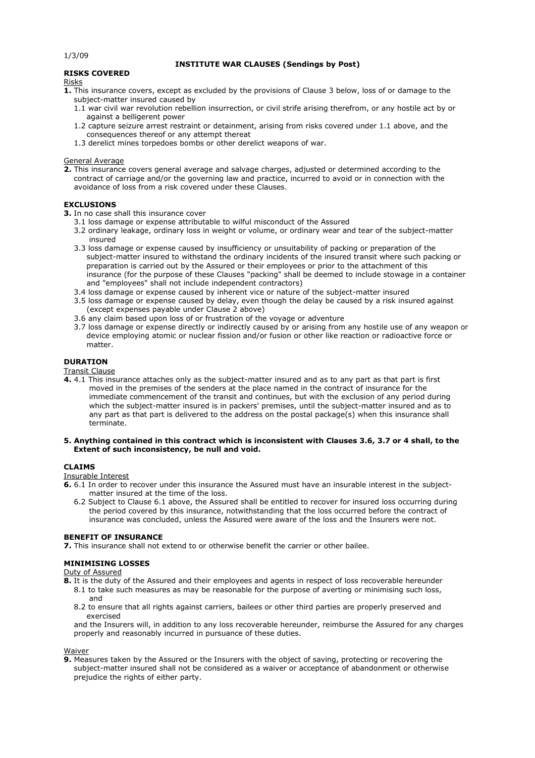## 1/3/09

## **INSTITUTE WAR CLAUSES (Sendings by Post)**

# **RISKS COVERED**

#### Risks

- **1.** This insurance covers, except as excluded by the provisions of Clause 3 below, loss of or damage to the subject-matter insured caused by
	- 1.1 war civil war revolution rebellion insurrection, or civil strife arising therefrom, or any hostile act by or against a belligerent power
	- 1.2 capture seizure arrest restraint or detainment, arising from risks covered under 1.1 above, and the consequences thereof or any attempt thereat
	- 1.3 derelict mines torpedoes bombs or other derelict weapons of war.

#### General Average

**2.** This insurance covers general average and salvage charges, adjusted or determined according to the contract of carriage and/or the governing law and practice, incurred to avoid or in connection with the avoidance of loss from a risk covered under these Clauses.

## **EXCLUSIONS**

- **3.** In no case shall this insurance cover
	- 3.1 loss damage or expense attributable to wilful misconduct of the Assured
	- 3.2 ordinary leakage, ordinary loss in weight or volume, or ordinary wear and tear of the subject-matter insured
	- 3.3 loss damage or expense caused by insufficiency or unsuitability of packing or preparation of the subject-matter insured to withstand the ordinary incidents of the insured transit where such packing or preparation is carried out by the Assured or their employees or prior to the attachment of this insurance (for the purpose of these Clauses "packing" shall be deemed to include stowage in a container and "employees" shall not include independent contractors)
	- 3.4 loss damage or expense caused by inherent vice or nature of the subject-matter insured
	- 3.5 loss damage or expense caused by delay, even though the delay be caused by a risk insured against (except expenses payable under Clause 2 above)
	- 3.6 any claim based upon loss of or frustration of the voyage or adventure
	- 3.7 loss damage or expense directly or indirectly caused by or arising from any hostile use of any weapon or device employing atomic or nuclear fission and/or fusion or other like reaction or radioactive force or matter.

## **DURATION**

Transit Clause

- **4.** 4.1 This insurance attaches only as the subject-matter insured and as to any part as that part is first moved in the premises of the senders at the place named in the contract of insurance for the immediate commencement of the transit and continues, but with the exclusion of any period during which the subject-matter insured is in packers' premises, until the subject-matter insured and as to any part as that part is delivered to the address on the postal package(s) when this insurance shall terminate.
- **5. Anything contained in this contract which is inconsistent with Clauses 3.6, 3.7 or 4 shall, to the Extent of such inconsistency, be null and void.**

## **CLAIMS**

Insurable Interest

- **6.** 6.1 In order to recover under this insurance the Assured must have an insurable interest in the subjectmatter insured at the time of the loss.
	- 6.2 Subject to Clause 6.1 above, the Assured shall be entitled to recover for insured loss occurring during the period covered by this insurance, notwithstanding that the loss occurred before the contract of insurance was concluded, unless the Assured were aware of the loss and the Insurers were not.

# **BENEFIT OF INSURANCE**

**7.** This insurance shall not extend to or otherwise benefit the carrier or other bailee.

# **MINIMISING LOSSES**

# Duty of Assured

**8.** It is the duty of the Assured and their employees and agents in respect of loss recoverable hereunder 8.1 to take such measures as may be reasonable for the purpose of averting or minimising such loss, and

8.2 to ensure that all rights against carriers, bailees or other third parties are properly preserved and exercised

and the Insurers will, in addition to any loss recoverable hereunder, reimburse the Assured for any charges properly and reasonably incurred in pursuance of these duties.

Waiver

**9.** Measures taken by the Assured or the Insurers with the object of saving, protecting or recovering the subject-matter insured shall not be considered as a waiver or acceptance of abandonment or otherwise prejudice the rights of either party.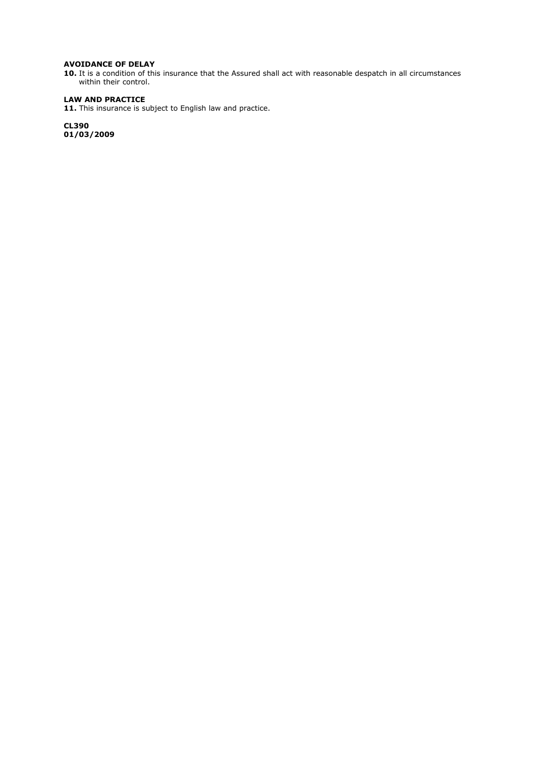# **AVOIDANCE OF DELAY**

**10.** It is a condition of this insurance that the Assured shall act with reasonable despatch in all circumstances within their control.

# **LAW AND PRACTICE**

11. This insurance is subject to English law and practice.

**CL390 01/03/2009**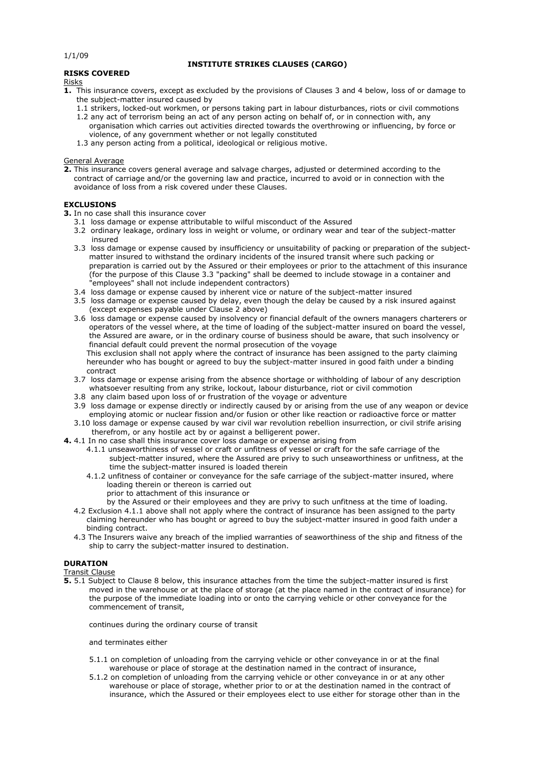### 1/1/09

# **INSTITUTE STRIKES CLAUSES (CARGO)**

# **RISKS COVERED**

#### Risks

- **1.** This insurance covers, except as excluded by the provisions of Clauses 3 and 4 below, loss of or damage to the subject-matter insured caused by
	- 1.1 strikers, locked-out workmen, or persons taking part in labour disturbances, riots or civil commotions
	- 1.2 any act of terrorism being an act of any person acting on behalf of, or in connection with, any organisation which carries out activities directed towards the overthrowing or influencing, by force or violence, of any government whether or not legally constituted
	- 1.3 any person acting from a political, ideological or religious motive.

#### General Average

**2.** This insurance covers general average and salvage charges, adjusted or determined according to the contract of carriage and/or the governing law and practice, incurred to avoid or in connection with the avoidance of loss from a risk covered under these Clauses.

## **EXCLUSIONS**

- **3.** In no case shall this insurance cover
	- 3.1 loss damage or expense attributable to wilful misconduct of the Assured
	- 3.2 ordinary leakage, ordinary loss in weight or volume, or ordinary wear and tear of the subject-matter insured
	- 3.3 loss damage or expense caused by insufficiency or unsuitability of packing or preparation of the subjectmatter insured to withstand the ordinary incidents of the insured transit where such packing or preparation is carried out by the Assured or their employees or prior to the attachment of this insurance (for the purpose of this Clause 3.3 "packing" shall be deemed to include stowage in a container and "employees" shall not include independent contractors)
	- 3.4 loss damage or expense caused by inherent vice or nature of the subject-matter insured
	- 3.5 loss damage or expense caused by delay, even though the delay be caused by a risk insured against (except expenses payable under Clause 2 above)
	- 3.6 loss damage or expense caused by insolvency or financial default of the owners managers charterers or operators of the vessel where, at the time of loading of the subject-matter insured on board the vessel, the Assured are aware, or in the ordinary course of business should be aware, that such insolvency or financial default could prevent the normal prosecution of the voyage This exclusion shall not apply where the contract of insurance has been assigned to the party claiming
	- hereunder who has bought or agreed to buy the subject-matter insured in good faith under a binding contract
	- 3.7 loss damage or expense arising from the absence shortage or withholding of labour of any description whatsoever resulting from any strike, lockout, labour disturbance, riot or civil commotion
	- 3.8 any claim based upon loss of or frustration of the voyage or adventure
	- 3.9 loss damage or expense directly or indirectly caused by or arising from the use of any weapon or device employing atomic or nuclear fission and/or fusion or other like reaction or radioactive force or matter
	- 3.10 loss damage or expense caused by war civil war revolution rebellion insurrection, or civil strife arising therefrom, or any hostile act by or against a belligerent power.
- **4.** 4.1 In no case shall this insurance cover loss damage or expense arising from
	- 4.1.1 unseaworthiness of vessel or craft or unfitness of vessel or craft for the safe carriage of the subject-matter insured, where the Assured are privy to such unseaworthiness or unfitness, at the time the subject-matter insured is loaded therein
	- 4.1.2 unfitness of container or conveyance for the safe carriage of the subject-matter insured, where loading therein or thereon is carried out prior to attachment of this insurance or
	- by the Assured or their employees and they are privy to such unfitness at the time of loading. 4.2 Exclusion 4.1.1 above shall not apply where the contract of insurance has been assigned to the party claiming hereunder who has bought or agreed to buy the subject-matter insured in good faith under a
	- binding contract. 4.3 The Insurers waive any breach of the implied warranties of seaworthiness of the ship and fitness of the ship to carry the subject-matter insured to destination.

# **DURATION**

Transit Clause

**5.** 5.1 Subject to Clause 8 below, this insurance attaches from the time the subject-matter insured is first moved in the warehouse or at the place of storage (at the place named in the contract of insurance) for the purpose of the immediate loading into or onto the carrying vehicle or other conveyance for the commencement of transit,

continues during the ordinary course of transit

and terminates either

- 5.1.1 on completion of unloading from the carrying vehicle or other conveyance in or at the final warehouse or place of storage at the destination named in the contract of insurance,
- 5.1.2 on completion of unloading from the carrying vehicle or other conveyance in or at any other warehouse or place of storage, whether prior to or at the destination named in the contract of insurance, which the Assured or their employees elect to use either for storage other than in the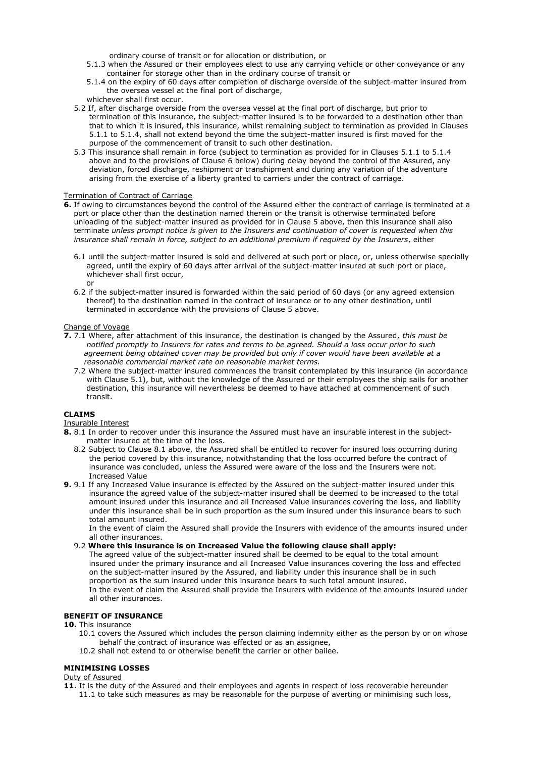- ordinary course of transit or for allocation or distribution, or
- 5.1.3 when the Assured or their employees elect to use any carrying vehicle or other conveyance or any container for storage other than in the ordinary course of transit or
- 5.1.4 on the expiry of 60 days after completion of discharge overside of the subject-matter insured from the oversea vessel at the final port of discharge,
- whichever shall first occur.
- 5.2 If, after discharge overside from the oversea vessel at the final port of discharge, but prior to termination of this insurance, the subject-matter insured is to be forwarded to a destination other than that to which it is insured, this insurance, whilst remaining subject to termination as provided in Clauses 5.1.1 to 5.1.4, shall not extend beyond the time the subject-matter insured is first moved for the purpose of the commencement of transit to such other destination.
- 5.3 This insurance shall remain in force (subject to termination as provided for in Clauses 5.1.1 to 5.1.4 above and to the provisions of Clause 6 below) during delay beyond the control of the Assured, any deviation, forced discharge, reshipment or transhipment and during any variation of the adventure arising from the exercise of a liberty granted to carriers under the contract of carriage.

## Termination of Contract of Carriage

- **6.** If owing to circumstances beyond the control of the Assured either the contract of carriage is terminated at a port or place other than the destination named therein or the transit is otherwise terminated before unloading of the subject-matter insured as provided for in Clause 5 above, then this insurance shall also terminate *unless prompt notice is given to the Insurers and continuation of cover is requested when this insurance shall remain in force, subject to an additional premium if required by the Insurers*, either
	- 6.1 until the subject-matter insured is sold and delivered at such port or place, or, unless otherwise specially agreed, until the expiry of 60 days after arrival of the subject-matter insured at such port or place, whichever shall first occur, or
	- 6.2 if the subject-matter insured is forwarded within the said period of 60 days (or any agreed extension thereof) to the destination named in the contract of insurance or to any other destination, until terminated in accordance with the provisions of Clause 5 above.

## Change of Voyage

- **7.** 7.1 Where, after attachment of this insurance, the destination is changed by the Assured, *this must be notified promptly to Insurers for rates and terms to be agreed. Should a loss occur prior to such agreement being obtained cover may be provided but only if cover would have been available at a reasonable commercial market rate on reasonable market terms.*
	- 7.2 Where the subject-matter insured commences the transit contemplated by this insurance (in accordance with Clause 5.1), but, without the knowledge of the Assured or their employees the ship sails for another destination, this insurance will nevertheless be deemed to have attached at commencement of such transit.

# **CLAIMS**

# Insurable Interest

- **8.** 8.1 In order to recover under this insurance the Assured must have an insurable interest in the subjectmatter insured at the time of the loss.
	- 8.2 Subject to Clause 8.1 above, the Assured shall be entitled to recover for insured loss occurring during the period covered by this insurance, notwithstanding that the loss occurred before the contract of insurance was concluded, unless the Assured were aware of the loss and the Insurers were not. Increased Value
- **9.** 9.1 If any Increased Value insurance is effected by the Assured on the subject-matter insured under this insurance the agreed value of the subject-matter insured shall be deemed to be increased to the total amount insured under this insurance and all Increased Value insurances covering the loss, and liability under this insurance shall be in such proportion as the sum insured under this insurance bears to such total amount insured.

In the event of claim the Assured shall provide the Insurers with evidence of the amounts insured under all other insurances.

9.2 **Where this insurance is on Increased Value the following clause shall apply:**

The agreed value of the subject-matter insured shall be deemed to be equal to the total amount insured under the primary insurance and all Increased Value insurances covering the loss and effected on the subject-matter insured by the Assured, and liability under this insurance shall be in such proportion as the sum insured under this insurance bears to such total amount insured. In the event of claim the Assured shall provide the Insurers with evidence of the amounts insured under all other insurances.

# **BENEFIT OF INSURANCE**

#### **10.** This insurance

- 10.1 covers the Assured which includes the person claiming indemnity either as the person by or on whose behalf the contract of insurance was effected or as an assignee,
- 10.2 shall not extend to or otherwise benefit the carrier or other bailee.

# **MINIMISING LOSSES**

# Duty of Assured

11. It is the duty of the Assured and their employees and agents in respect of loss recoverable hereunder 11.1 to take such measures as may be reasonable for the purpose of averting or minimising such loss,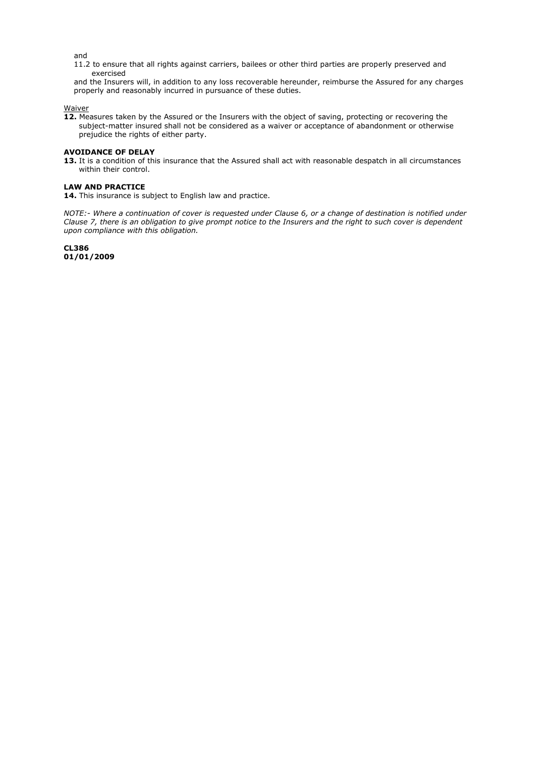and

11.2 to ensure that all rights against carriers, bailees or other third parties are properly preserved and exercised

and the Insurers will, in addition to any loss recoverable hereunder, reimburse the Assured for any charges properly and reasonably incurred in pursuance of these duties.

Waiver

**12.** Measures taken by the Assured or the Insurers with the object of saving, protecting or recovering the subject-matter insured shall not be considered as a waiver or acceptance of abandonment or otherwise prejudice the rights of either party.

# **AVOIDANCE OF DELAY**

**13.** It is a condition of this insurance that the Assured shall act with reasonable despatch in all circumstances within their control.

## **LAW AND PRACTICE**

**14.** This insurance is subject to English law and practice.

*NOTE:- Where a continuation of cover is requested under Clause 6, or a change of destination is notified under Clause 7, there is an obligation to give prompt notice to the Insurers and the right to such cover is dependent upon compliance with this obligation.*

**CL386 01/01/2009**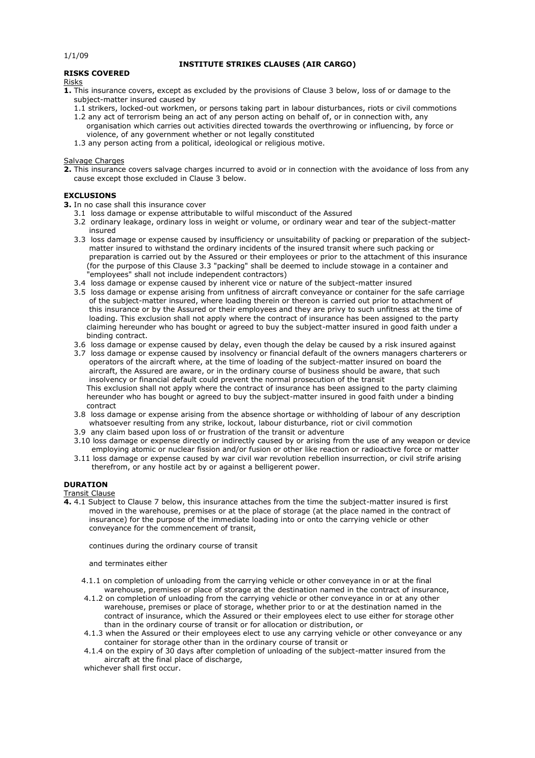### 1/1/09

## **INSTITUTE STRIKES CLAUSES (AIR CARGO)**

# **RISKS COVERED**

#### Risks

- **1.** This insurance covers, except as excluded by the provisions of Clause 3 below, loss of or damage to the subject-matter insured caused by
	- 1.1 strikers, locked-out workmen, or persons taking part in labour disturbances, riots or civil commotions 1.2 any act of terrorism being an act of any person acting on behalf of, or in connection with, any
	- organisation which carries out activities directed towards the overthrowing or influencing, by force or violence, of any government whether or not legally constituted
	- 1.3 any person acting from a political, ideological or religious motive.

#### Salvage Charges

**2.** This insurance covers salvage charges incurred to avoid or in connection with the avoidance of loss from any cause except those excluded in Clause 3 below.

## **EXCLUSIONS**

- **3.** In no case shall this insurance cover
	- 3.1 loss damage or expense attributable to wilful misconduct of the Assured
	- 3.2 ordinary leakage, ordinary loss in weight or volume, or ordinary wear and tear of the subject-matter insured
	- 3.3 loss damage or expense caused by insufficiency or unsuitability of packing or preparation of the subjectmatter insured to withstand the ordinary incidents of the insured transit where such packing or preparation is carried out by the Assured or their employees or prior to the attachment of this insurance (for the purpose of this Clause 3.3 "packing" shall be deemed to include stowage in a container and "employees" shall not include independent contractors)
	- 3.4 loss damage or expense caused by inherent vice or nature of the subject-matter insured
	- 3.5 loss damage or expense arising from unfitness of aircraft conveyance or container for the safe carriage of the subject-matter insured, where loading therein or thereon is carried out prior to attachment of this insurance or by the Assured or their employees and they are privy to such unfitness at the time of loading. This exclusion shall not apply where the contract of insurance has been assigned to the party claiming hereunder who has bought or agreed to buy the subject-matter insured in good faith under a binding contract.
	- 3.6 loss damage or expense caused by delay, even though the delay be caused by a risk insured against
	- 3.7 loss damage or expense caused by insolvency or financial default of the owners managers charterers or operators of the aircraft where, at the time of loading of the subject-matter insured on board the aircraft, the Assured are aware, or in the ordinary course of business should be aware, that such insolvency or financial default could prevent the normal prosecution of the transit This exclusion shall not apply where the contract of insurance has been assigned to the party claiming hereunder who has bought or agreed to buy the subject-matter insured in good faith under a binding contract
	- 3.8 loss damage or expense arising from the absence shortage or withholding of labour of any description whatsoever resulting from any strike, lockout, labour disturbance, riot or civil commotion
	- 3.9 any claim based upon loss of or frustration of the transit or adventure
	- 3.10 loss damage or expense directly or indirectly caused by or arising from the use of any weapon or device employing atomic or nuclear fission and/or fusion or other like reaction or radioactive force or matter
	- 3.11 loss damage or expense caused by war civil war revolution rebellion insurrection, or civil strife arising therefrom, or any hostile act by or against a belligerent power.

# **DURATION**

# Transit Clause

**4.** 4.1 Subject to Clause 7 below, this insurance attaches from the time the subject-matter insured is first moved in the warehouse, premises or at the place of storage (at the place named in the contract of insurance) for the purpose of the immediate loading into or onto the carrying vehicle or other conveyance for the commencement of transit,

continues during the ordinary course of transit

and terminates either

- 4.1.1 on completion of unloading from the carrying vehicle or other conveyance in or at the final warehouse, premises or place of storage at the destination named in the contract of insurance,
- 4.1.2 on completion of unloading from the carrying vehicle or other conveyance in or at any other warehouse, premises or place of storage, whether prior to or at the destination named in the contract of insurance, which the Assured or their employees elect to use either for storage other than in the ordinary course of transit or for allocation or distribution, or
- 4.1.3 when the Assured or their employees elect to use any carrying vehicle or other conveyance or any container for storage other than in the ordinary course of transit or
- 4.1.4 on the expiry of 30 days after completion of unloading of the subject-matter insured from the aircraft at the final place of discharge.

whichever shall first occur.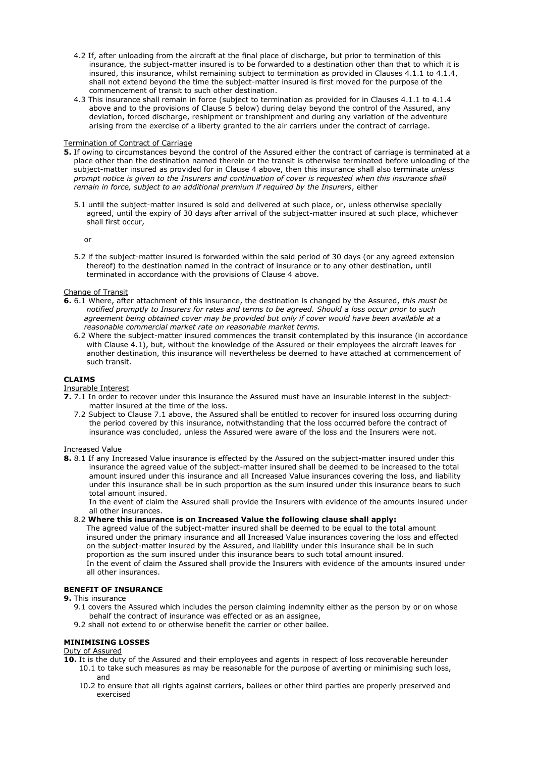- 4.2 If, after unloading from the aircraft at the final place of discharge, but prior to termination of this insurance, the subject-matter insured is to be forwarded to a destination other than that to which it is insured, this insurance, whilst remaining subject to termination as provided in Clauses 4.1.1 to 4.1.4, shall not extend beyond the time the subject-matter insured is first moved for the purpose of the commencement of transit to such other destination.
- 4.3 This insurance shall remain in force (subject to termination as provided for in Clauses 4.1.1 to 4.1.4 above and to the provisions of Clause 5 below) during delay beyond the control of the Assured, any deviation, forced discharge, reshipment or transhipment and during any variation of the adventure arising from the exercise of a liberty granted to the air carriers under the contract of carriage.

# Termination of Contract of Carriage

- **5.** If owing to circumstances beyond the control of the Assured either the contract of carriage is terminated at a place other than the destination named therein or the transit is otherwise terminated before unloading of the subject-matter insured as provided for in Clause 4 above, then this insurance shall also terminate *unless prompt notice is given to the Insurers and continuation of cover is requested when this insurance shall remain in force, subject to an additional premium if required by the Insurers*, either
	- 5.1 until the subject-matter insured is sold and delivered at such place, or, unless otherwise specially agreed, until the expiry of 30 days after arrival of the subject-matter insured at such place, whichever shall first occur,

or

5.2 if the subject-matter insured is forwarded within the said period of 30 days (or any agreed extension thereof) to the destination named in the contract of insurance or to any other destination, until terminated in accordance with the provisions of Clause 4 above.

## Change of Transit

- **6.** 6.1 Where, after attachment of this insurance, the destination is changed by the Assured, *this must be notified promptly to Insurers for rates and terms to be agreed. Should a loss occur prior to such agreement being obtained cover may be provided but only if cover would have been available at a reasonable commercial market rate on reasonable market terms.*
	- 6.2 Where the subject-matter insured commences the transit contemplated by this insurance (in accordance with Clause 4.1), but, without the knowledge of the Assured or their employees the aircraft leaves for another destination, this insurance will nevertheless be deemed to have attached at commencement of such transit.

## **CLAIMS**

### Insurable Interest

- **7.** 7.1 In order to recover under this insurance the Assured must have an insurable interest in the subjectmatter insured at the time of the loss.
	- 7.2 Subject to Clause 7.1 above, the Assured shall be entitled to recover for insured loss occurring during the period covered by this insurance, notwithstanding that the loss occurred before the contract of insurance was concluded, unless the Assured were aware of the loss and the Insurers were not.

#### Increased Value

**8.** 8.1 If any Increased Value insurance is effected by the Assured on the subject-matter insured under this insurance the agreed value of the subject-matter insured shall be deemed to be increased to the total amount insured under this insurance and all Increased Value insurances covering the loss, and liability under this insurance shall be in such proportion as the sum insured under this insurance bears to such total amount insured.

In the event of claim the Assured shall provide the Insurers with evidence of the amounts insured under all other insurances.

# 8.2 **Where this insurance is on Increased Value the following clause shall apply:**

The agreed value of the subject-matter insured shall be deemed to be equal to the total amount insured under the primary insurance and all Increased Value insurances covering the loss and effected on the subject-matter insured by the Assured, and liability under this insurance shall be in such proportion as the sum insured under this insurance bears to such total amount insured.

In the event of claim the Assured shall provide the Insurers with evidence of the amounts insured under all other insurances.

# **BENEFIT OF INSURANCE**

## **9.** This insurance

- 9.1 covers the Assured which includes the person claiming indemnity either as the person by or on whose behalf the contract of insurance was effected or as an assignee,
- 9.2 shall not extend to or otherwise benefit the carrier or other bailee.

# **MINIMISING LOSSES**

#### Duty of Assured

- **10.** It is the duty of the Assured and their employees and agents in respect of loss recoverable hereunder
	- 10.1 to take such measures as may be reasonable for the purpose of averting or minimising such loss, and
	- 10.2 to ensure that all rights against carriers, bailees or other third parties are properly preserved and exercised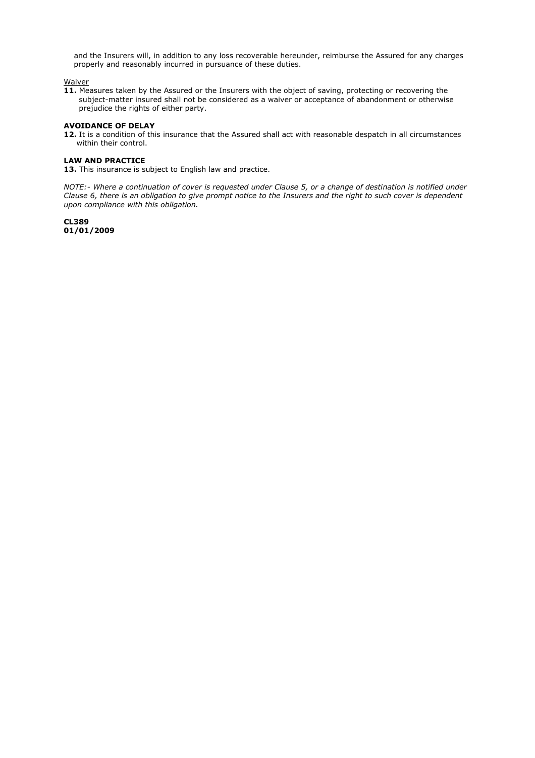and the Insurers will, in addition to any loss recoverable hereunder, reimburse the Assured for any charges properly and reasonably incurred in pursuance of these duties.

**Waiver** 

**11.** Measures taken by the Assured or the Insurers with the object of saving, protecting or recovering the subject-matter insured shall not be considered as a waiver or acceptance of abandonment or otherwise prejudice the rights of either party.

## **AVOIDANCE OF DELAY**

**12.** It is a condition of this insurance that the Assured shall act with reasonable despatch in all circumstances within their control.

#### **LAW AND PRACTICE**

13. This insurance is subject to English law and practice.

*NOTE:- Where a continuation of cover is requested under Clause 5, or a change of destination is notified under Clause 6, there is an obligation to give prompt notice to the Insurers and the right to such cover is dependent upon compliance with this obligation.*

**CL389 01/01/2009**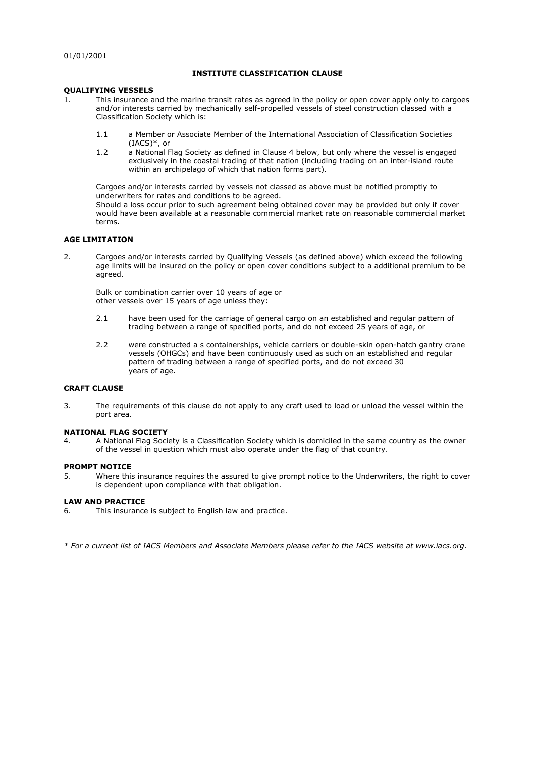# **INSTITUTE CLASSIFICATION CLAUSE**

#### **QUALIFYING VESSELS**

- 1. This insurance and the marine transit rates as agreed in the policy or open cover apply only to cargoes and/or interests carried by mechanically self-propelled vessels of steel construction classed with a Classification Society which is:
	- 1.1 a Member or Associate Member of the International Association of Classification Societies (IACS)\*, or
	- 1.2 a National Flag Society as defined in Clause 4 below, but only where the vessel is engaged exclusively in the coastal trading of that nation (including trading on an inter-island route within an archipelago of which that nation forms part).

Cargoes and/or interests carried by vessels not classed as above must be notified promptly to underwriters for rates and conditions to be agreed.

Should a loss occur prior to such agreement being obtained cover may be provided but only if cover would have been available at a reasonable commercial market rate on reasonable commercial market terms.

## **AGE LIMITATION**

2. Cargoes and/or interests carried by Qualifying Vessels (as defined above) which exceed the following age limits will be insured on the policy or open cover conditions subject to a additional premium to be agreed.

Bulk or combination carrier over 10 years of age or other vessels over 15 years of age unless they:

- 2.1 have been used for the carriage of general cargo on an established and regular pattern of trading between a range of specified ports, and do not exceed 25 years of age, or
- 2.2 were constructed a s containerships, vehicle carriers or double-skin open-hatch gantry crane vessels (OHGCs) and have been continuously used as such on an established and regular pattern of trading between a range of specified ports, and do not exceed 30 years of age.

# **CRAFT CLAUSE**

3. The requirements of this clause do not apply to any craft used to load or unload the vessel within the port area.

### **NATIONAL FLAG SOCIETY**

4. A National Flag Society is a Classification Society which is domiciled in the same country as the owner of the vessel in question which must also operate under the flag of that country.

## **PROMPT NOTICE**

5. Where this insurance requires the assured to give prompt notice to the Underwriters, the right to cover is dependent upon compliance with that obligation.

# **LAW AND PRACTICE**

6. This insurance is subject to English law and practice.

*\* For a current list of IACS Members and Associate Members please refer to the IACS website at www.iacs.org.*